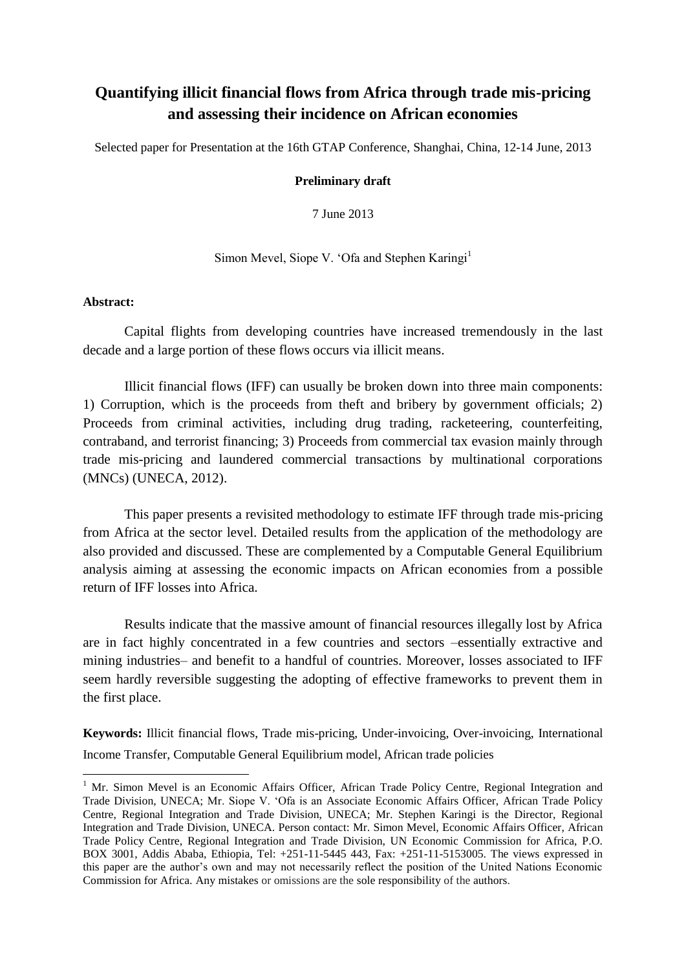# **Quantifying illicit financial flows from Africa through trade mis-pricing and assessing their incidence on African economies**

Selected paper for Presentation at the 16th GTAP Conference, Shanghai, China, 12-14 June, 2013

#### **Preliminary draft**

7 June 2013

Simon Mevel, Siope V. 'Ofa and Stephen Karingi<sup>1</sup>

### **Abstract:**

1

Capital flights from developing countries have increased tremendously in the last decade and a large portion of these flows occurs via illicit means.

Illicit financial flows (IFF) can usually be broken down into three main components: 1) Corruption, which is the proceeds from theft and bribery by government officials; 2) Proceeds from criminal activities, including drug trading, racketeering, counterfeiting, contraband, and terrorist financing; 3) Proceeds from commercial tax evasion mainly through trade mis-pricing and laundered commercial transactions by multinational corporations (MNCs) (UNECA, 2012).

This paper presents a revisited methodology to estimate IFF through trade mis-pricing from Africa at the sector level. Detailed results from the application of the methodology are also provided and discussed. These are complemented by a Computable General Equilibrium analysis aiming at assessing the economic impacts on African economies from a possible return of IFF losses into Africa.

Results indicate that the massive amount of financial resources illegally lost by Africa are in fact highly concentrated in a few countries and sectors –essentially extractive and mining industries– and benefit to a handful of countries. Moreover, losses associated to IFF seem hardly reversible suggesting the adopting of effective frameworks to prevent them in the first place.

**Keywords:** Illicit financial flows, Trade mis-pricing, Under-invoicing, Over-invoicing, International Income Transfer, Computable General Equilibrium model, African trade policies

<sup>&</sup>lt;sup>1</sup> Mr. Simon Mevel is an Economic Affairs Officer, African Trade Policy Centre, Regional Integration and Trade Division, UNECA; Mr. Siope V. 'Ofa is an Associate Economic Affairs Officer, African Trade Policy Centre, Regional Integration and Trade Division, UNECA; Mr. Stephen Karingi is the Director, Regional Integration and Trade Division, UNECA. Person contact: Mr. Simon Mevel, Economic Affairs Officer, African Trade Policy Centre, Regional Integration and Trade Division, UN Economic Commission for Africa, P.O. BOX 3001, Addis Ababa, Ethiopia, Tel: +251-11-5445 443, Fax: +251-11-5153005. The views expressed in this paper are the author's own and may not necessarily reflect the position of the United Nations Economic Commission for Africa. Any mistakes or omissions are the sole responsibility of the authors.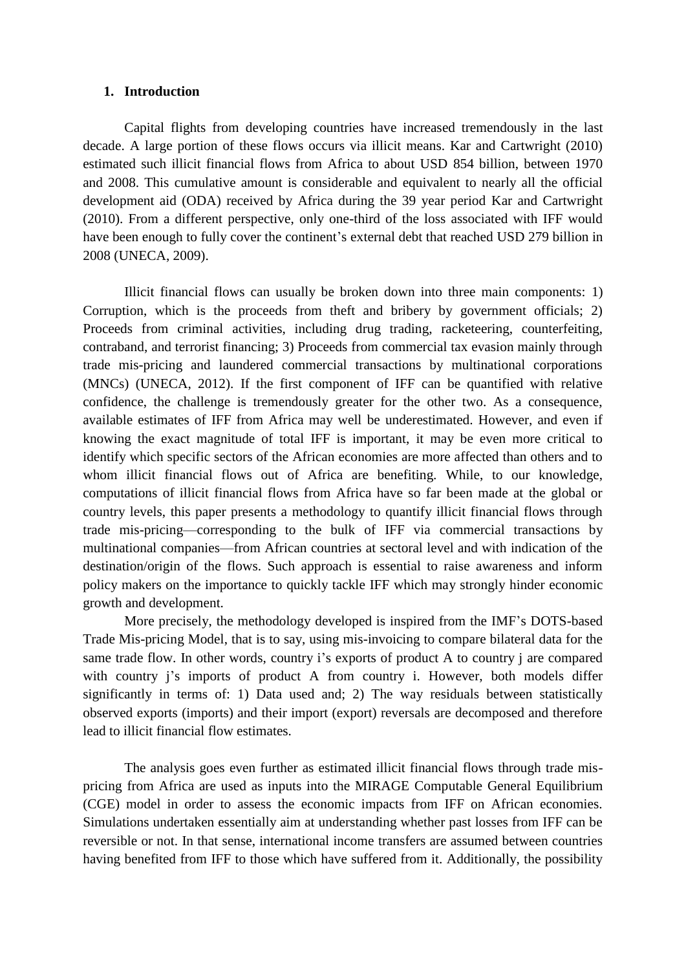#### **1. Introduction**

Capital flights from developing countries have increased tremendously in the last decade. A large portion of these flows occurs via illicit means. Kar and Cartwright (2010) estimated such illicit financial flows from Africa to about USD 854 billion, between 1970 and 2008. This cumulative amount is considerable and equivalent to nearly all the official development aid (ODA) received by Africa during the 39 year period Kar and Cartwright (2010). From a different perspective, only one-third of the loss associated with IFF would have been enough to fully cover the continent's external debt that reached USD 279 billion in 2008 (UNECA, 2009).

Illicit financial flows can usually be broken down into three main components: 1) Corruption, which is the proceeds from theft and bribery by government officials; 2) Proceeds from criminal activities, including drug trading, racketeering, counterfeiting, contraband, and terrorist financing; 3) Proceeds from commercial tax evasion mainly through trade mis-pricing and laundered commercial transactions by multinational corporations (MNCs) (UNECA, 2012). If the first component of IFF can be quantified with relative confidence, the challenge is tremendously greater for the other two. As a consequence, available estimates of IFF from Africa may well be underestimated. However, and even if knowing the exact magnitude of total IFF is important, it may be even more critical to identify which specific sectors of the African economies are more affected than others and to whom illicit financial flows out of Africa are benefiting. While, to our knowledge, computations of illicit financial flows from Africa have so far been made at the global or country levels, this paper presents a methodology to quantify illicit financial flows through trade mis-pricing—corresponding to the bulk of IFF via commercial transactions by multinational companies—from African countries at sectoral level and with indication of the destination/origin of the flows. Such approach is essential to raise awareness and inform policy makers on the importance to quickly tackle IFF which may strongly hinder economic growth and development.

More precisely, the methodology developed is inspired from the IMF's DOTS-based Trade Mis-pricing Model, that is to say, using mis-invoicing to compare bilateral data for the same trade flow. In other words, country i's exports of product A to country j are compared with country j's imports of product A from country i. However, both models differ significantly in terms of: 1) Data used and; 2) The way residuals between statistically observed exports (imports) and their import (export) reversals are decomposed and therefore lead to illicit financial flow estimates.

The analysis goes even further as estimated illicit financial flows through trade mispricing from Africa are used as inputs into the MIRAGE Computable General Equilibrium (CGE) model in order to assess the economic impacts from IFF on African economies. Simulations undertaken essentially aim at understanding whether past losses from IFF can be reversible or not. In that sense, international income transfers are assumed between countries having benefited from IFF to those which have suffered from it. Additionally, the possibility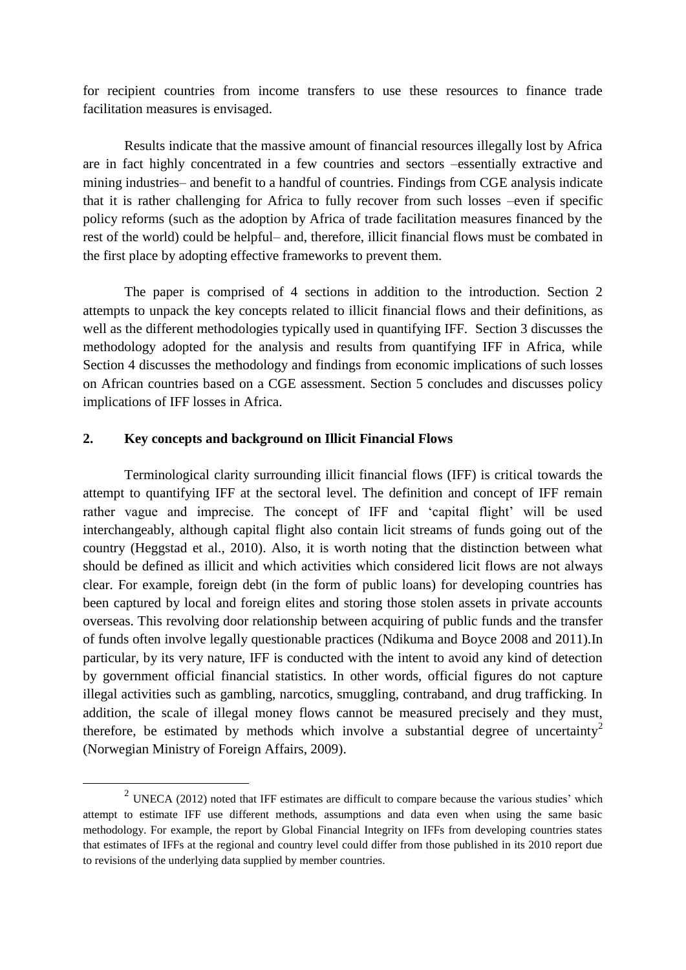for recipient countries from income transfers to use these resources to finance trade facilitation measures is envisaged.

Results indicate that the massive amount of financial resources illegally lost by Africa are in fact highly concentrated in a few countries and sectors –essentially extractive and mining industries– and benefit to a handful of countries. Findings from CGE analysis indicate that it is rather challenging for Africa to fully recover from such losses –even if specific policy reforms (such as the adoption by Africa of trade facilitation measures financed by the rest of the world) could be helpful– and, therefore, illicit financial flows must be combated in the first place by adopting effective frameworks to prevent them.

The paper is comprised of 4 sections in addition to the introduction. Section 2 attempts to unpack the key concepts related to illicit financial flows and their definitions, as well as the different methodologies typically used in quantifying IFF. Section 3 discusses the methodology adopted for the analysis and results from quantifying IFF in Africa, while Section 4 discusses the methodology and findings from economic implications of such losses on African countries based on a CGE assessment. Section 5 concludes and discusses policy implications of IFF losses in Africa.

### **2. Key concepts and background on Illicit Financial Flows**

1

Terminological clarity surrounding illicit financial flows (IFF) is critical towards the attempt to quantifying IFF at the sectoral level. The definition and concept of IFF remain rather vague and imprecise. The concept of IFF and 'capital flight' will be used interchangeably, although capital flight also contain licit streams of funds going out of the country (Heggstad et al., 2010). Also, it is worth noting that the distinction between what should be defined as illicit and which activities which considered licit flows are not always clear. For example, foreign debt (in the form of public loans) for developing countries has been captured by local and foreign elites and storing those stolen assets in private accounts overseas. This revolving door relationship between acquiring of public funds and the transfer of funds often involve legally questionable practices (Ndikuma and Boyce 2008 and 2011).In particular, by its very nature, IFF is conducted with the intent to avoid any kind of detection by government official financial statistics. In other words, official figures do not capture illegal activities such as gambling, narcotics, smuggling, contraband, and drug trafficking. In addition, the scale of illegal money flows cannot be measured precisely and they must, therefore, be estimated by methods which involve a substantial degree of uncertainty<sup>2</sup> (Norwegian Ministry of Foreign Affairs, 2009).

<sup>&</sup>lt;sup>2</sup> UNECA (2012) noted that IFF estimates are difficult to compare because the various studies' which attempt to estimate IFF use different methods, assumptions and data even when using the same basic methodology. For example, the report by Global Financial Integrity on IFFs from developing countries states that estimates of IFFs at the regional and country level could differ from those published in its 2010 report due to revisions of the underlying data supplied by member countries.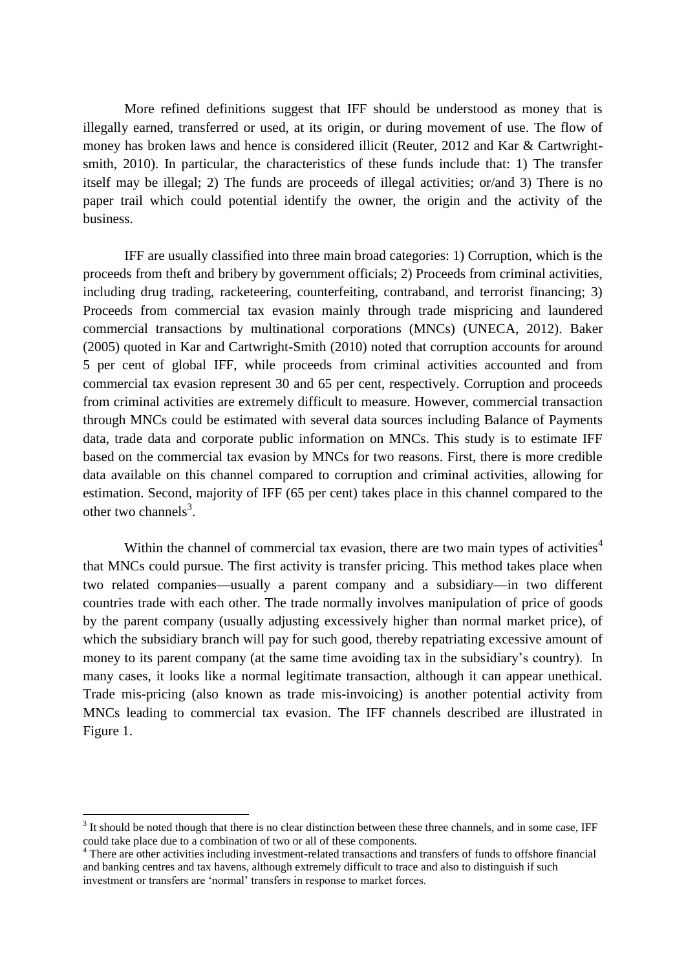More refined definitions suggest that IFF should be understood as money that is illegally earned, transferred or used, at its origin, or during movement of use. The flow of money has broken laws and hence is considered illicit (Reuter, 2012 and Kar & Cartwrightsmith, 2010). In particular, the characteristics of these funds include that: 1) The transfer itself may be illegal; 2) The funds are proceeds of illegal activities; or/and 3) There is no paper trail which could potential identify the owner, the origin and the activity of the business.

IFF are usually classified into three main broad categories: 1) Corruption, which is the proceeds from theft and bribery by government officials; 2) Proceeds from criminal activities, including drug trading, racketeering, counterfeiting, contraband, and terrorist financing; 3) Proceeds from commercial tax evasion mainly through trade mispricing and laundered commercial transactions by multinational corporations (MNCs) (UNECA, 2012). Baker (2005) quoted in Kar and Cartwright-Smith (2010) noted that corruption accounts for around 5 per cent of global IFF, while proceeds from criminal activities accounted and from commercial tax evasion represent 30 and 65 per cent, respectively. Corruption and proceeds from criminal activities are extremely difficult to measure. However, commercial transaction through MNCs could be estimated with several data sources including Balance of Payments data, trade data and corporate public information on MNCs. This study is to estimate IFF based on the commercial tax evasion by MNCs for two reasons. First, there is more credible data available on this channel compared to corruption and criminal activities, allowing for estimation. Second, majority of IFF (65 per cent) takes place in this channel compared to the other two channels<sup>3</sup>.

Within the channel of commercial tax evasion, there are two main types of activities<sup>4</sup> that MNCs could pursue. The first activity is transfer pricing. This method takes place when two related companies—usually a parent company and a subsidiary—in two different countries trade with each other. The trade normally involves manipulation of price of goods by the parent company (usually adjusting excessively higher than normal market price), of which the subsidiary branch will pay for such good, thereby repatriating excessive amount of money to its parent company (at the same time avoiding tax in the subsidiary's country). In many cases, it looks like a normal legitimate transaction, although it can appear unethical. Trade mis-pricing (also known as trade mis-invoicing) is another potential activity from MNCs leading to commercial tax evasion. The IFF channels described are illustrated in Figure 1.

<u>.</u>

 $3$  It should be noted though that there is no clear distinction between these three channels, and in some case, IFF could take place due to a combination of two or all of these components.

<sup>&</sup>lt;sup>4</sup> There are other activities including investment-related transactions and transfers of funds to offshore financial and banking centres and tax havens, although extremely difficult to trace and also to distinguish if such investment or transfers are 'normal' transfers in response to market forces.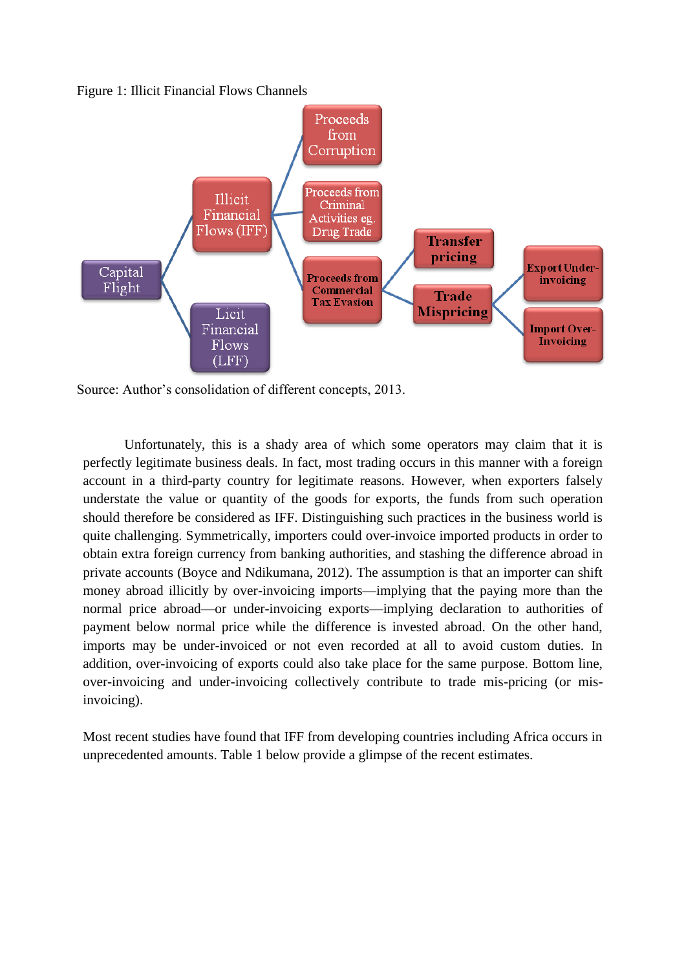Figure 1: Illicit Financial Flows Channels



Source: Author's consolidation of different concepts, 2013.

Unfortunately, this is a shady area of which some operators may claim that it is perfectly legitimate business deals. In fact, most trading occurs in this manner with a foreign account in a third-party country for legitimate reasons. However, when exporters falsely understate the value or quantity of the goods for exports, the funds from such operation should therefore be considered as IFF. Distinguishing such practices in the business world is quite challenging. Symmetrically, importers could over-invoice imported products in order to obtain extra foreign currency from banking authorities, and stashing the difference abroad in private accounts (Boyce and Ndikumana, 2012). The assumption is that an importer can shift money abroad illicitly by over-invoicing imports—implying that the paying more than the normal price abroad—or under-invoicing exports—implying declaration to authorities of payment below normal price while the difference is invested abroad. On the other hand, imports may be under-invoiced or not even recorded at all to avoid custom duties. In addition, over-invoicing of exports could also take place for the same purpose. Bottom line, over-invoicing and under-invoicing collectively contribute to trade mis-pricing (or misinvoicing).

Most recent studies have found that IFF from developing countries including Africa occurs in unprecedented amounts. Table 1 below provide a glimpse of the recent estimates.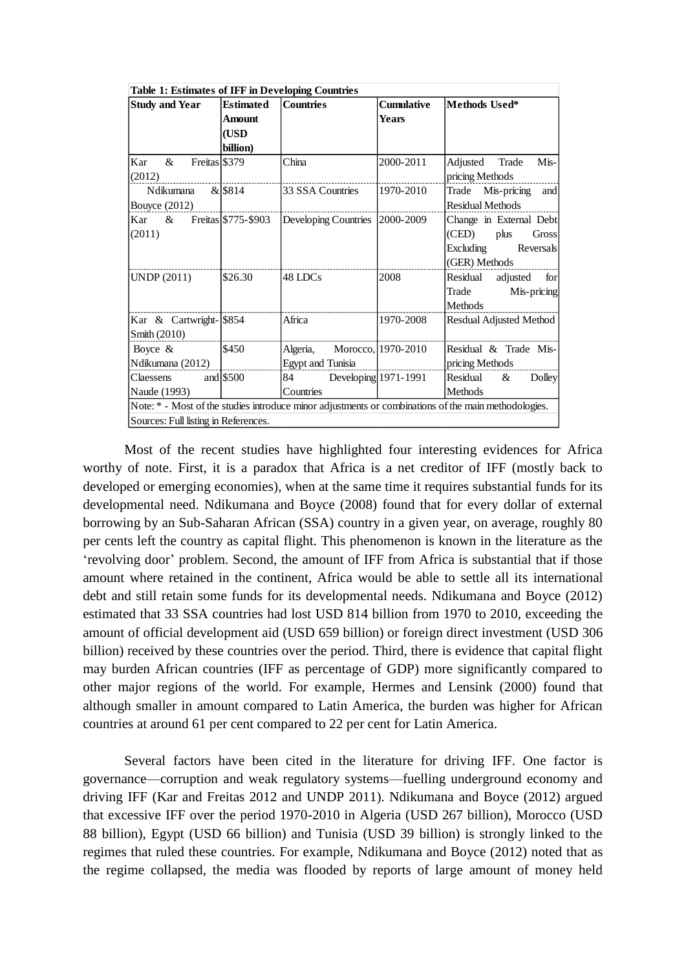| <b>Table 1: Estimates of IFF in Developing Countries</b> |                  |                                                         |                   |                                                                                                      |  |  |  |
|----------------------------------------------------------|------------------|---------------------------------------------------------|-------------------|------------------------------------------------------------------------------------------------------|--|--|--|
| <b>Study and Year</b>                                    | <b>Estimated</b> | <b>Countries</b>                                        | <b>Cumulative</b> | Methods Used*                                                                                        |  |  |  |
|                                                          | Amount           |                                                         | <b>Years</b>      |                                                                                                      |  |  |  |
|                                                          | (USD             |                                                         |                   |                                                                                                      |  |  |  |
|                                                          | billion)         |                                                         |                   |                                                                                                      |  |  |  |
| $\&$<br>Freitas \$379<br>Kar<br>(2012)                   |                  | China                                                   | 2000-2011         | Adjusted Trade<br>Mis-<br>pricing Methods                                                            |  |  |  |
| Ndikumana & \$814<br><b>Bouyce</b> (2012)                |                  | 33 SSA Countries                                        | 1970-2010         | Trade Mis-pricing<br>and<br>Residual Methods                                                         |  |  |  |
| & Freitas \$775-\$903<br>Kar<br>(2011)                   |                  | Developing Countries                                    | 2000-2009         | Change in External Debt<br>(CED)<br>plus<br>Gross<br>Excluding<br>Reversals<br>(GER) Methods         |  |  |  |
| <b>UNDP</b> (2011)                                       | \$26.30          | 48 LDCs                                                 | 2008              | Residual adjusted for<br>Trade<br>Mis-pricing<br><b>Methods</b>                                      |  |  |  |
| Kar & Cartwright- \$854<br>Smith $(2010)$                |                  | Africa                                                  | 1970-2008         | Resdual Adjusted Method                                                                              |  |  |  |
| Boyce $\&$<br>Ndikumana (2012)                           | \$450            | Algeria, Morocco, 1970-2010<br><b>Egypt and Tunisia</b> |                   | Residual & Trade Mis-<br>pricing Methods                                                             |  |  |  |
| Claessens and \$500<br>Naude (1993)                      |                  | 84 Developing 1971-1991<br>Countries                    |                   | Residual & Dolley<br>Methods                                                                         |  |  |  |
|                                                          |                  |                                                         |                   | Note: * - Most of the studies introduce minor adjustments or combinations of the main methodologies. |  |  |  |
| Sources: Full listing in References.                     |                  |                                                         |                   |                                                                                                      |  |  |  |

Most of the recent studies have highlighted four interesting evidences for Africa worthy of note. First, it is a paradox that Africa is a net creditor of IFF (mostly back to developed or emerging economies), when at the same time it requires substantial funds for its developmental need. Ndikumana and Boyce (2008) found that for every dollar of external borrowing by an Sub-Saharan African (SSA) country in a given year, on average, roughly 80 per cents left the country as capital flight. This phenomenon is known in the literature as the 'revolving door' problem. Second, the amount of IFF from Africa is substantial that if those amount where retained in the continent, Africa would be able to settle all its international debt and still retain some funds for its developmental needs. Ndikumana and Boyce (2012) estimated that 33 SSA countries had lost USD 814 billion from 1970 to 2010, exceeding the amount of official development aid (USD 659 billion) or foreign direct investment (USD 306 billion) received by these countries over the period. Third, there is evidence that capital flight may burden African countries (IFF as percentage of GDP) more significantly compared to other major regions of the world. For example, Hermes and Lensink (2000) found that although smaller in amount compared to Latin America, the burden was higher for African countries at around 61 per cent compared to 22 per cent for Latin America.

Several factors have been cited in the literature for driving IFF. One factor is governance—corruption and weak regulatory systems—fuelling underground economy and driving IFF (Kar and Freitas 2012 and UNDP 2011). Ndikumana and Boyce (2012) argued that excessive IFF over the period 1970-2010 in Algeria (USD 267 billion), Morocco (USD 88 billion), Egypt (USD 66 billion) and Tunisia (USD 39 billion) is strongly linked to the regimes that ruled these countries. For example, Ndikumana and Boyce (2012) noted that as the regime collapsed, the media was flooded by reports of large amount of money held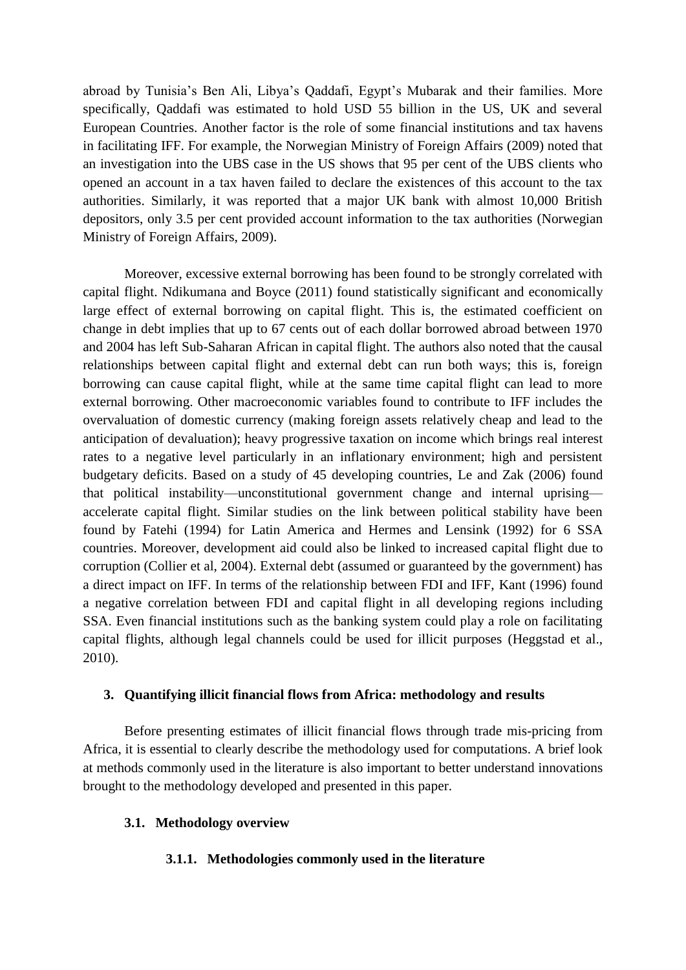abroad by Tunisia's Ben Ali, Libya's Qaddafi, Egypt's Mubarak and their families. More specifically, Qaddafi was estimated to hold USD 55 billion in the US, UK and several European Countries. Another factor is the role of some financial institutions and tax havens in facilitating IFF. For example, the Norwegian Ministry of Foreign Affairs (2009) noted that an investigation into the UBS case in the US shows that 95 per cent of the UBS clients who opened an account in a tax haven failed to declare the existences of this account to the tax authorities. Similarly, it was reported that a major UK bank with almost 10,000 British depositors, only 3.5 per cent provided account information to the tax authorities (Norwegian Ministry of Foreign Affairs, 2009).

Moreover, excessive external borrowing has been found to be strongly correlated with capital flight. Ndikumana and Boyce (2011) found statistically significant and economically large effect of external borrowing on capital flight. This is, the estimated coefficient on change in debt implies that up to 67 cents out of each dollar borrowed abroad between 1970 and 2004 has left Sub-Saharan African in capital flight. The authors also noted that the causal relationships between capital flight and external debt can run both ways; this is, foreign borrowing can cause capital flight, while at the same time capital flight can lead to more external borrowing. Other macroeconomic variables found to contribute to IFF includes the overvaluation of domestic currency (making foreign assets relatively cheap and lead to the anticipation of devaluation); heavy progressive taxation on income which brings real interest rates to a negative level particularly in an inflationary environment; high and persistent budgetary deficits. Based on a study of 45 developing countries, Le and Zak (2006) found that political instability—unconstitutional government change and internal uprising accelerate capital flight. Similar studies on the link between political stability have been found by Fatehi (1994) for Latin America and Hermes and Lensink (1992) for 6 SSA countries. Moreover, development aid could also be linked to increased capital flight due to corruption (Collier et al, 2004). External debt (assumed or guaranteed by the government) has a direct impact on IFF. In terms of the relationship between FDI and IFF, Kant (1996) found a negative correlation between FDI and capital flight in all developing regions including SSA. Even financial institutions such as the banking system could play a role on facilitating capital flights, although legal channels could be used for illicit purposes (Heggstad et al., 2010).

### **3. Quantifying illicit financial flows from Africa: methodology and results**

Before presenting estimates of illicit financial flows through trade mis-pricing from Africa, it is essential to clearly describe the methodology used for computations. A brief look at methods commonly used in the literature is also important to better understand innovations brought to the methodology developed and presented in this paper.

### **3.1. Methodology overview**

### **3.1.1. Methodologies commonly used in the literature**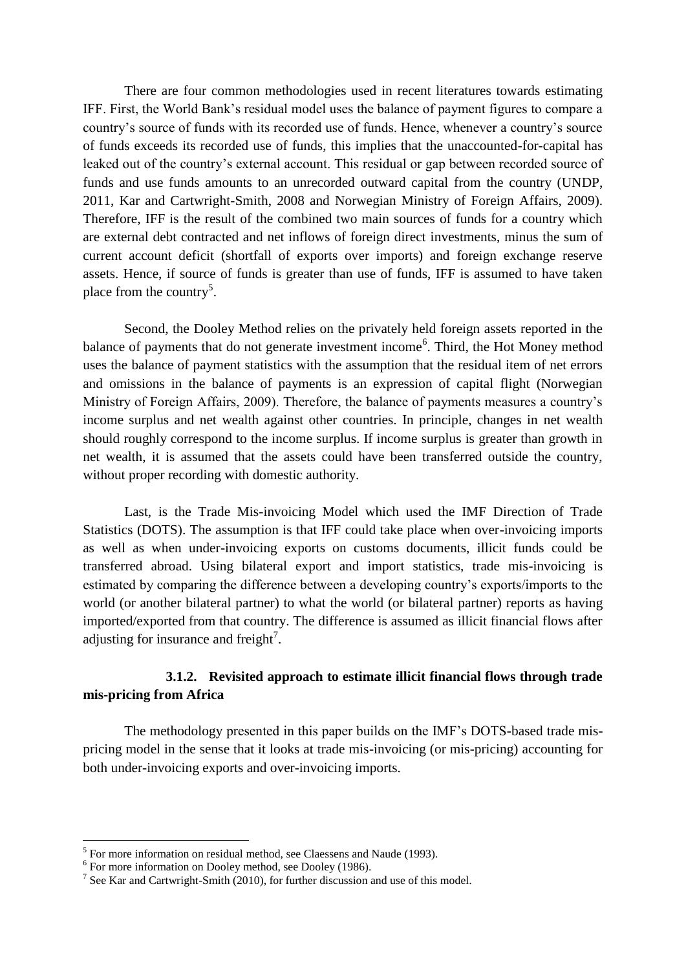There are four common methodologies used in recent literatures towards estimating IFF. First, the World Bank's residual model uses the balance of payment figures to compare a country's source of funds with its recorded use of funds. Hence, whenever a country's source of funds exceeds its recorded use of funds, this implies that the unaccounted-for-capital has leaked out of the country's external account. This residual or gap between recorded source of funds and use funds amounts to an unrecorded outward capital from the country (UNDP, 2011, Kar and Cartwright-Smith, 2008 and Norwegian Ministry of Foreign Affairs, 2009). Therefore, IFF is the result of the combined two main sources of funds for a country which are external debt contracted and net inflows of foreign direct investments, minus the sum of current account deficit (shortfall of exports over imports) and foreign exchange reserve assets. Hence, if source of funds is greater than use of funds, IFF is assumed to have taken place from the country<sup>5</sup>.

Second, the Dooley Method relies on the privately held foreign assets reported in the balance of payments that do not generate investment income<sup>6</sup>. Third, the Hot Money method uses the balance of payment statistics with the assumption that the residual item of net errors and omissions in the balance of payments is an expression of capital flight (Norwegian Ministry of Foreign Affairs, 2009). Therefore, the balance of payments measures a country's income surplus and net wealth against other countries. In principle, changes in net wealth should roughly correspond to the income surplus. If income surplus is greater than growth in net wealth, it is assumed that the assets could have been transferred outside the country, without proper recording with domestic authority.

Last, is the Trade Mis-invoicing Model which used the IMF Direction of Trade Statistics (DOTS). The assumption is that IFF could take place when over-invoicing imports as well as when under-invoicing exports on customs documents, illicit funds could be transferred abroad. Using bilateral export and import statistics, trade mis-invoicing is estimated by comparing the difference between a developing country's exports/imports to the world (or another bilateral partner) to what the world (or bilateral partner) reports as having imported/exported from that country. The difference is assumed as illicit financial flows after adjusting for insurance and freight<sup>7</sup>.

## **3.1.2. Revisited approach to estimate illicit financial flows through trade mis-pricing from Africa**

The methodology presented in this paper builds on the IMF's DOTS-based trade mispricing model in the sense that it looks at trade mis-invoicing (or mis-pricing) accounting for both under-invoicing exports and over-invoicing imports.

<u>.</u>

<sup>&</sup>lt;sup>5</sup> For more information on residual method, see Claessens and Naude (1993).

<sup>&</sup>lt;sup>6</sup> For more information on Dooley method, see Dooley (1986).

<sup>&</sup>lt;sup>7</sup> See Kar and Cartwright-Smith (2010), for further discussion and use of this model.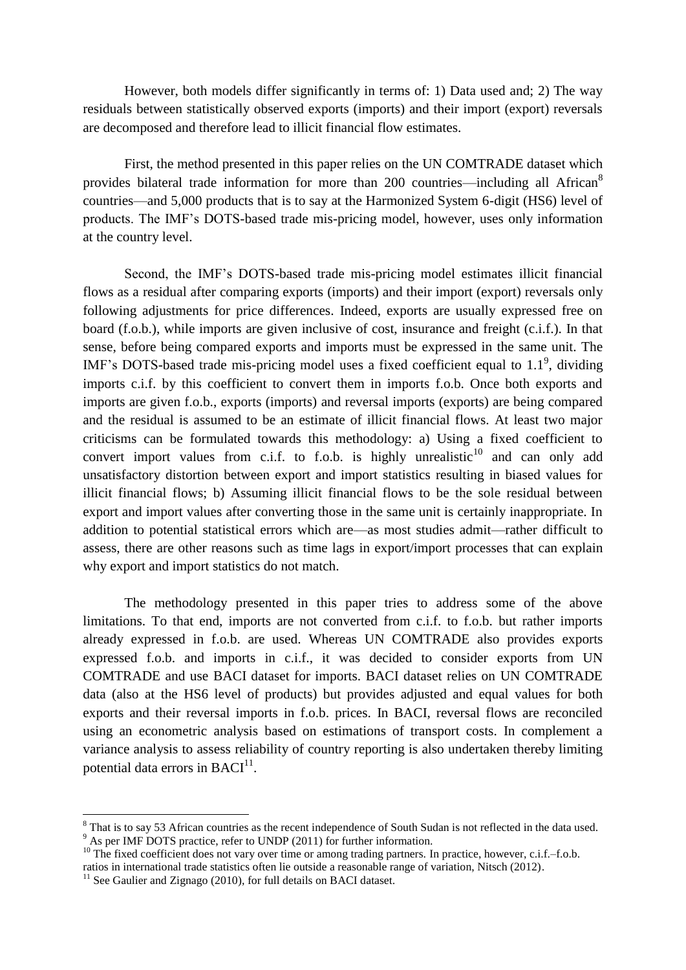However, both models differ significantly in terms of: 1) Data used and; 2) The way residuals between statistically observed exports (imports) and their import (export) reversals are decomposed and therefore lead to illicit financial flow estimates.

First, the method presented in this paper relies on the UN COMTRADE dataset which provides bilateral trade information for more than 200 countries—including all African<sup>8</sup> countries—and 5,000 products that is to say at the Harmonized System 6-digit (HS6) level of products. The IMF's DOTS-based trade mis-pricing model, however, uses only information at the country level.

Second, the IMF's DOTS-based trade mis-pricing model estimates illicit financial flows as a residual after comparing exports (imports) and their import (export) reversals only following adjustments for price differences. Indeed, exports are usually expressed free on board (f.o.b.), while imports are given inclusive of cost, insurance and freight (c.i.f.). In that sense, before being compared exports and imports must be expressed in the same unit. The IMF's DOTS-based trade mis-pricing model uses a fixed coefficient equal to  $1.1^9$ , dividing imports c.i.f. by this coefficient to convert them in imports f.o.b. Once both exports and imports are given f.o.b., exports (imports) and reversal imports (exports) are being compared and the residual is assumed to be an estimate of illicit financial flows. At least two major criticisms can be formulated towards this methodology: a) Using a fixed coefficient to convert import values from c.i.f. to f.o.b. is highly unrealistic<sup>10</sup> and can only add unsatisfactory distortion between export and import statistics resulting in biased values for illicit financial flows; b) Assuming illicit financial flows to be the sole residual between export and import values after converting those in the same unit is certainly inappropriate. In addition to potential statistical errors which are—as most studies admit—rather difficult to assess, there are other reasons such as time lags in export/import processes that can explain why export and import statistics do not match.

The methodology presented in this paper tries to address some of the above limitations. To that end, imports are not converted from c.i.f. to f.o.b. but rather imports already expressed in f.o.b. are used. Whereas UN COMTRADE also provides exports expressed f.o.b. and imports in c.i.f., it was decided to consider exports from UN COMTRADE and use BACI dataset for imports. BACI dataset relies on UN COMTRADE data (also at the HS6 level of products) but provides adjusted and equal values for both exports and their reversal imports in f.o.b. prices. In BACI, reversal flows are reconciled using an econometric analysis based on estimations of transport costs. In complement a variance analysis to assess reliability of country reporting is also undertaken thereby limiting potential data errors in  $BACI<sup>11</sup>$ .

<u>.</u>

 $8$  That is to say 53 African countries as the recent independence of South Sudan is not reflected in the data used. <sup>9</sup> As per IMF DOTS practice, refer to UNDP (2011) for further information.

<sup>&</sup>lt;sup>10</sup> The fixed coefficient does not vary over time or among trading partners. In practice, however, c.i.f.–f.o.b.

ratios in international trade statistics often lie outside a reasonable range of variation, Nitsch (2012).

 $11$  See Gaulier and Zignago (2010), for full details on BACI dataset.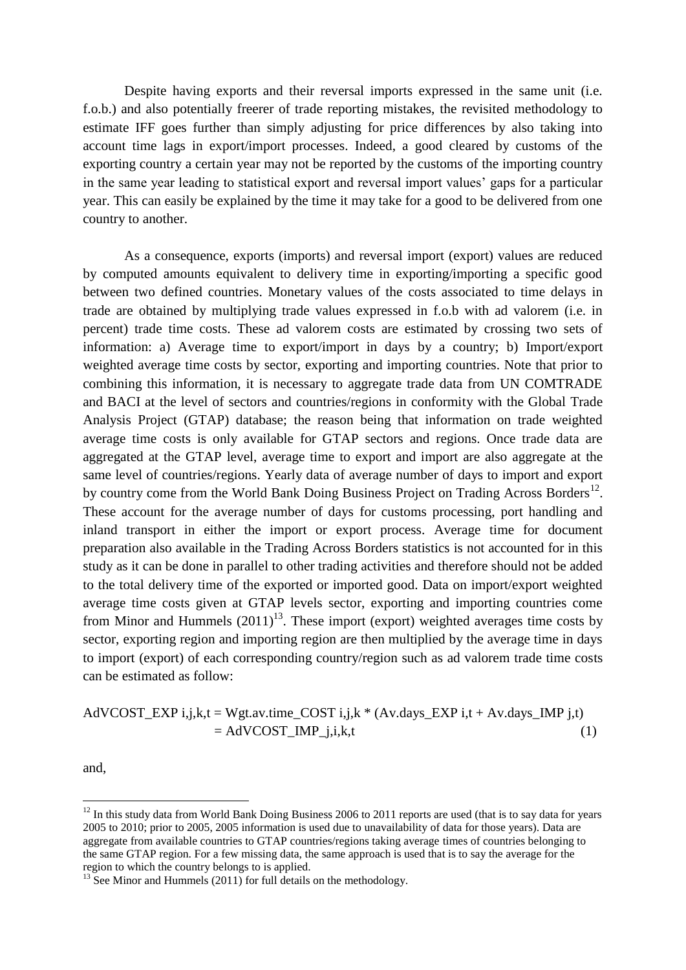Despite having exports and their reversal imports expressed in the same unit (i.e. f.o.b.) and also potentially freerer of trade reporting mistakes, the revisited methodology to estimate IFF goes further than simply adjusting for price differences by also taking into account time lags in export/import processes. Indeed, a good cleared by customs of the exporting country a certain year may not be reported by the customs of the importing country in the same year leading to statistical export and reversal import values' gaps for a particular year. This can easily be explained by the time it may take for a good to be delivered from one country to another.

As a consequence, exports (imports) and reversal import (export) values are reduced by computed amounts equivalent to delivery time in exporting/importing a specific good between two defined countries. Monetary values of the costs associated to time delays in trade are obtained by multiplying trade values expressed in f.o.b with ad valorem (i.e. in percent) trade time costs. These ad valorem costs are estimated by crossing two sets of information: a) Average time to export/import in days by a country; b) Import/export weighted average time costs by sector, exporting and importing countries. Note that prior to combining this information, it is necessary to aggregate trade data from UN COMTRADE and BACI at the level of sectors and countries/regions in conformity with the Global Trade Analysis Project (GTAP) database; the reason being that information on trade weighted average time costs is only available for GTAP sectors and regions. Once trade data are aggregated at the GTAP level, average time to export and import are also aggregate at the same level of countries/regions. Yearly data of average number of days to import and export by country come from the World Bank Doing Business Project on Trading Across Borders<sup>12</sup>. These account for the average number of days for customs processing, port handling and inland transport in either the import or export process. Average time for document preparation also available in the Trading Across Borders statistics is not accounted for in this study as it can be done in parallel to other trading activities and therefore should not be added to the total delivery time of the exported or imported good. Data on import/export weighted average time costs given at GTAP levels sector, exporting and importing countries come from Minor and Hummels  $(2011)^{13}$ . These import (export) weighted averages time costs by sector, exporting region and importing region are then multiplied by the average time in days to import (export) of each corresponding country/region such as ad valorem trade time costs can be estimated as follow:

AdVCOST\_EXP i,j,k,t = Wgt.av.time\_COST i,j,k \* (Av.days\_EXP i,t + Av.days\_IMP j,t)  $=$  AdVCOST\_IMP\_j,i,k,t (1)

and,

1

 $12$  In this study data from World Bank Doing Business 2006 to 2011 reports are used (that is to say data for years 2005 to 2010; prior to 2005, 2005 information is used due to unavailability of data for those years). Data are aggregate from available countries to GTAP countries/regions taking average times of countries belonging to the same GTAP region. For a few missing data, the same approach is used that is to say the average for the region to which the country belongs to is applied.

 $^{13}$  See Minor and Hummels (2011) for full details on the methodology.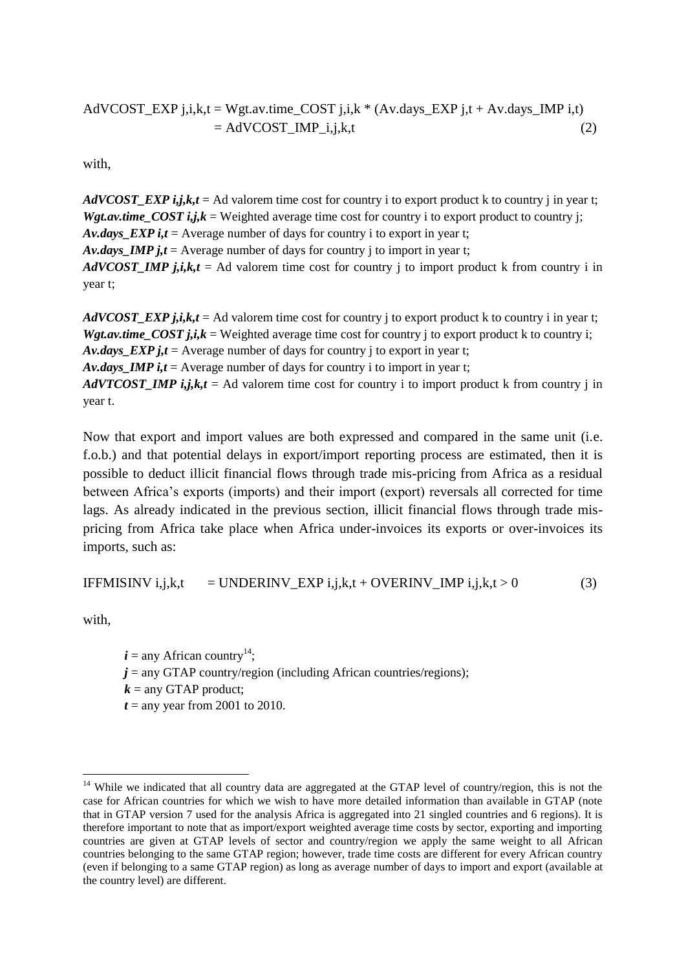## AdVCOST\_EXP j,i,k,t = Wgt.av.time\_COST j,i,k  $*(Av.days\_EXP j,t + Av.days\_IMP i,t)$  $=$  AdVCOST\_IMP\_i,j,k,t (2)

with,

*AdVCOST\_EXP i,j,k,t* = Ad valorem time cost for country i to export product k to country i in year t; *Wgt.av.time\_COST i,j,k* = Weighted average time cost for country i to export product to country j; *Av.days\_EXP i,t* = Average number of days for country i to export in year t; *Av.days IMP j,t* = Average number of days for country j to import in year t; *AdVCOST\_IMP j,i,k,t* = Ad valorem time cost for country j to import product k from country i in year t;

*AdVCOST\_EXP j,i,k,t* = Ad valorem time cost for country j to export product k to country i in year t; *Wgt.av.time COST j,i,k* = Weighted average time cost for country j to export product k to country i; *Av.days EXP j,t* = Average number of days for country j to export in year t; *Av.days IMP i,t* = Average number of days for country i to import in year t; *AdVTCOST\_IMP i,j,k,t* = Ad valorem time cost for country i to import product k from country j in year t.

Now that export and import values are both expressed and compared in the same unit (i.e. f.o.b.) and that potential delays in export/import reporting process are estimated, then it is possible to deduct illicit financial flows through trade mis-pricing from Africa as a residual between Africa's exports (imports) and their import (export) reversals all corrected for time lags. As already indicated in the previous section, illicit financial flows through trade mispricing from Africa take place when Africa under-invoices its exports or over-invoices its imports, such as:

IFFMISINV i,j,k,t = UNDERINV
$$
EXP i,j,k,t + OVERINV1MP i,j,k,t > 0
$$
 (3)

with,

 $i =$ any African country<sup>14</sup>;  $j =$ any GTAP country/region (including African countries/regions);  $k =$ any GTAP product;  $t =$ any year from 2001 to 2010.

<sup>1</sup> <sup>14</sup> While we indicated that all country data are aggregated at the GTAP level of country/region, this is not the case for African countries for which we wish to have more detailed information than available in GTAP (note that in GTAP version 7 used for the analysis Africa is aggregated into 21 singled countries and 6 regions). It is therefore important to note that as import/export weighted average time costs by sector, exporting and importing countries are given at GTAP levels of sector and country/region we apply the same weight to all African countries belonging to the same GTAP region; however, trade time costs are different for every African country (even if belonging to a same GTAP region) as long as average number of days to import and export (available at the country level) are different.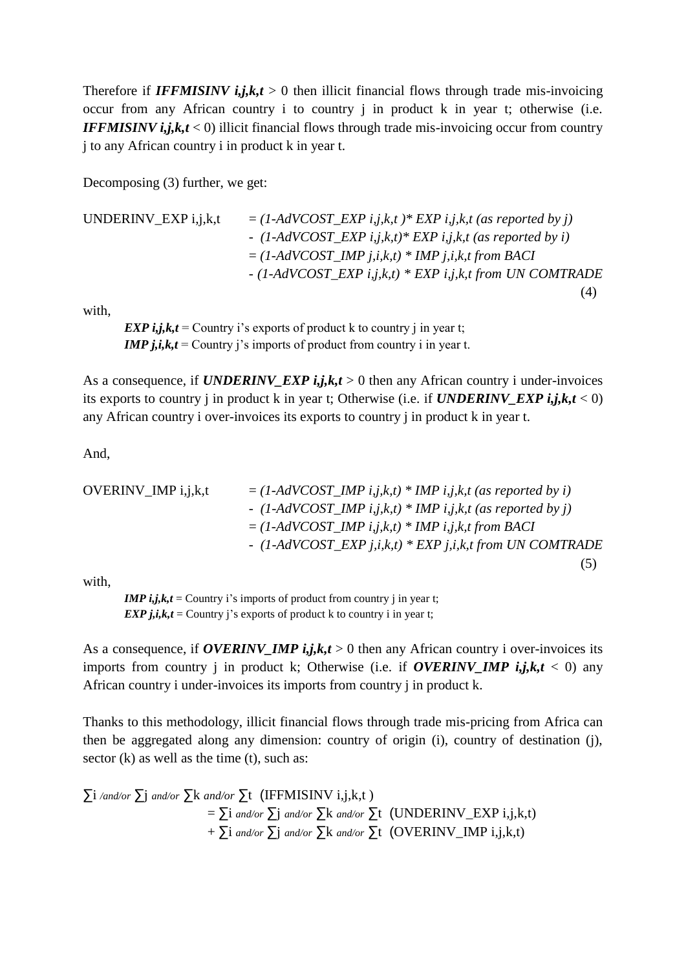Therefore if **IFFMISINV**  $i, j, k, t > 0$  then illicit financial flows through trade mis-invoicing occur from any African country i to country j in product k in year t; otherwise (i.e. *IFFMISINV i,j,k,t* < 0) illicit financial flows through trade mis-invoicing occur from country j to any African country i in product k in year t.

Decomposing (3) further, we get:

UNDERINV\_EXP i,j,k,t  $= (1 - AdV COST\_EXP i,j,k,t) * EXP i,j,k,t$  *(as reported by j) - (1-AdVCOST\_EXP i,j,k,t)\* EXP i,j,k,t (as reported by i)* = *(1*-*AdVCOST\_IMP j,i,k,t) \* IMP j,i,k,t from BACI - (1*-*AdVCOST\_EXP i,j,k,t) \* EXP i,j,k,t from UN COMTRADE* (4)

with,

*EXP i,j,k,t* = Country i's exports of product k to country j in year t; *IMP j,i,k,t* = Country j's imports of product from country i in year t.

As a consequence, if *UNDERINV\_EXP i,j,k,t* > 0 then any African country i under-invoices its exports to country j in product k in year t; Otherwise (i.e. if  $UNDERINV$   $EXP$   $i,j,k,t < 0$ ) any African country i over-invoices its exports to country j in product k in year t.

And,

OVERINV\_IMP i, j, k, t

\n
$$
= (1 - AdV COST_IMP i, j, k, t) * IMP i, j, k, t (as reported by i)
$$
\n
$$
- (1 - AdV COST_IMP i, j, k, t) * IMP i, j, k, t (as reported by j)
$$
\n
$$
= (1 - AdV COST_IMP i, j, k, t) * IMP i, j, k, t from BACI
$$
\n
$$
- (1 - AdV COST_EXP j, i, k, t) * EXP j, i, k, t from UN COMTRADE
$$
\n(5)

with,

*IMP i,j,k,t* = Country i's imports of product from country j in year t; *EXP j,i,k,t* = Country j's exports of product k to country i in year t;

As a consequence, if *OVERINV\_IMP*  $i, j, k, t > 0$  then any African country i over-invoices its imports from country j in product k; Otherwise (i.e. if  $\textit{OVERINV}\_\textit{IMP}\ i,j,k,t < 0$ ) any African country i under-invoices its imports from country j in product k.

Thanks to this methodology, illicit financial flows through trade mis-pricing from Africa can then be aggregated along any dimension: country of origin (i), country of destination (j), sector (k) as well as the time (t), such as:

∑i */and/or* ∑j *and/or* ∑k *and/or* ∑t (IFFMISINV i,j,k,t ) = ∑i *and/or* ∑j *and/or* ∑k *and/or* ∑t (UNDERINV\_EXP i,j,k,t) + ∑i *and/or* ∑j *and/or* ∑k *and/or* ∑t (OVERINV\_IMP i,j,k,t)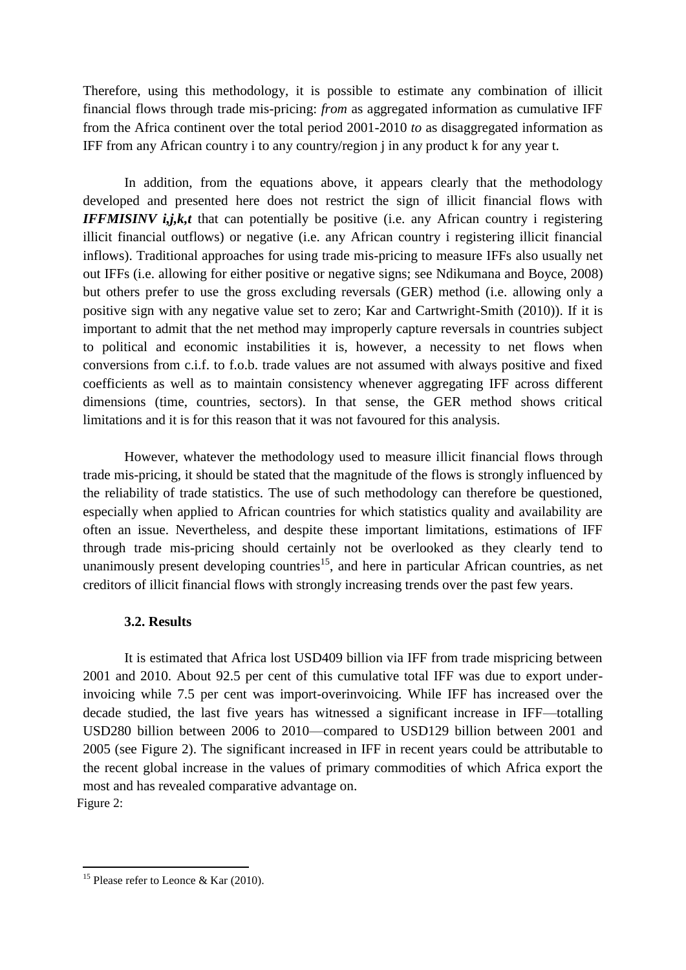Therefore, using this methodology, it is possible to estimate any combination of illicit financial flows through trade mis-pricing: *from* as aggregated information as cumulative IFF from the Africa continent over the total period 2001-2010 *to* as disaggregated information as IFF from any African country i to any country/region j in any product k for any year t.

In addition, from the equations above, it appears clearly that the methodology developed and presented here does not restrict the sign of illicit financial flows with *IFFMISINV i,j,k,t that can potentially be positive (i.e. any African country i registering* illicit financial outflows) or negative (i.e. any African country i registering illicit financial inflows). Traditional approaches for using trade mis-pricing to measure IFFs also usually net out IFFs (i.e. allowing for either positive or negative signs; see Ndikumana and Boyce, 2008) but others prefer to use the gross excluding reversals (GER) method (i.e. allowing only a positive sign with any negative value set to zero; Kar and Cartwright-Smith (2010)). If it is important to admit that the net method may improperly capture reversals in countries subject to political and economic instabilities it is, however, a necessity to net flows when conversions from c.i.f. to f.o.b. trade values are not assumed with always positive and fixed coefficients as well as to maintain consistency whenever aggregating IFF across different dimensions (time, countries, sectors). In that sense, the GER method shows critical limitations and it is for this reason that it was not favoured for this analysis.

However, whatever the methodology used to measure illicit financial flows through trade mis-pricing, it should be stated that the magnitude of the flows is strongly influenced by the reliability of trade statistics. The use of such methodology can therefore be questioned, especially when applied to African countries for which statistics quality and availability are often an issue. Nevertheless, and despite these important limitations, estimations of IFF through trade mis-pricing should certainly not be overlooked as they clearly tend to unanimously present developing countries<sup>15</sup>, and here in particular African countries, as net creditors of illicit financial flows with strongly increasing trends over the past few years.

#### **3.2. Results**

It is estimated that Africa lost USD409 billion via IFF from trade mispricing between 2001 and 2010. About 92.5 per cent of this cumulative total IFF was due to export underinvoicing while 7.5 per cent was import-overinvoicing. While IFF has increased over the decade studied, the last five years has witnessed a significant increase in IFF—totalling USD280 billion between 2006 to 2010—compared to USD129 billion between 2001 and 2005 (see Figure 2). The significant increased in IFF in recent years could be attributable to the recent global increase in the values of primary commodities of which Africa export the most and has revealed comparative advantage on. Figure 2:

1

<sup>&</sup>lt;sup>15</sup> Please refer to Leonce & Kar (2010).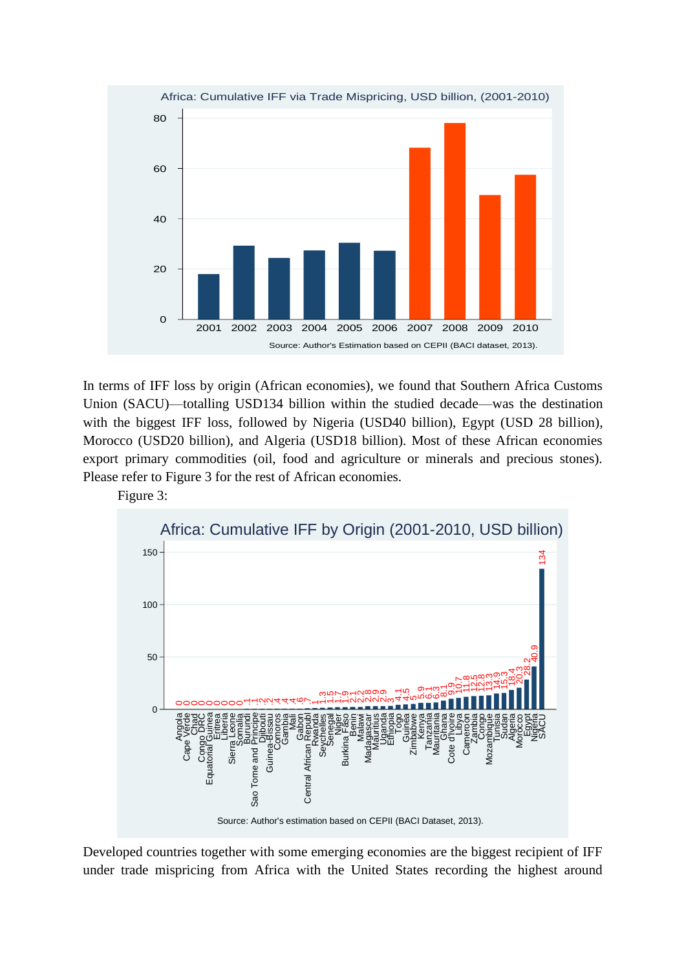

In terms of IFF loss by origin (African economies), we found that Southern Africa Customs Union (SACU)—totalling USD134 billion within the studied decade—was the destination with the biggest IFF loss, followed by Nigeria (USD40 billion), Egypt (USD 28 billion), Morocco (USD20 billion), and Algeria (USD18 billion). Most of these African economies export primary commodities (oil, food and agriculture or minerals and precious stones). Please refer to Figure 3 for the rest of African economies.

Figure 3:



Source: Author's estimation based on CEPII (BACI Dataset, 2013).

Developed countries together with some emerging economies are the biggest recipient of IFF under trade mispricing from Africa with the United States recording the highest around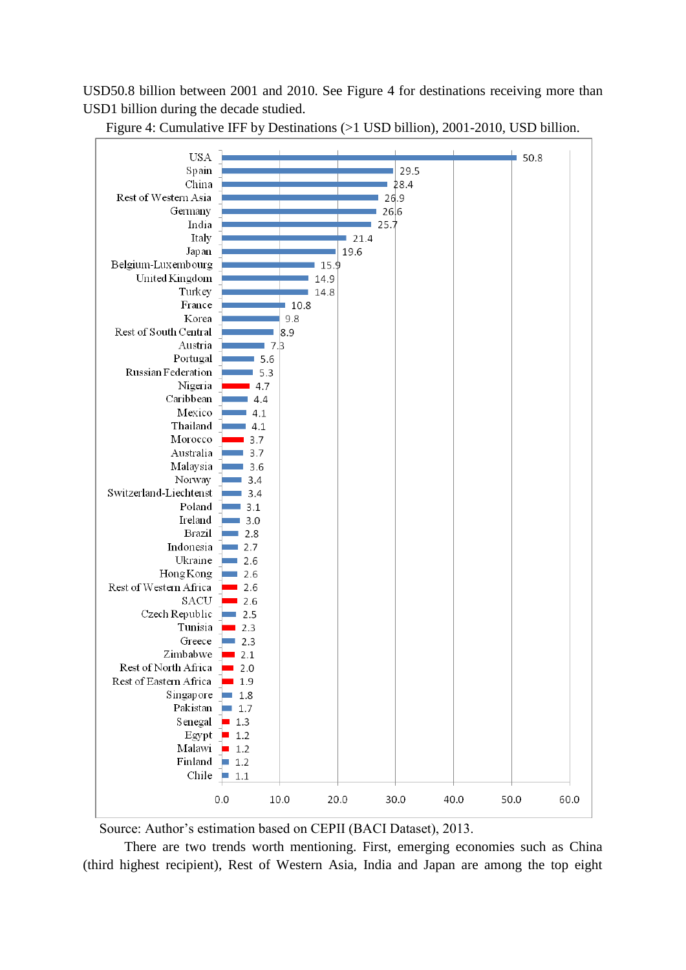USD50.8 billion between 2001 and 2010. See Figure 4 for destinations receiving more than USD1 billion during the decade studied.



Figure 4: Cumulative IFF by Destinations (>1 USD billion), 2001-2010, USD billion.

Source: Author's estimation based on CEPII (BACI Dataset), 2013.

There are two trends worth mentioning. First, emerging economies such as China (third highest recipient), Rest of Western Asia, India and Japan are among the top eight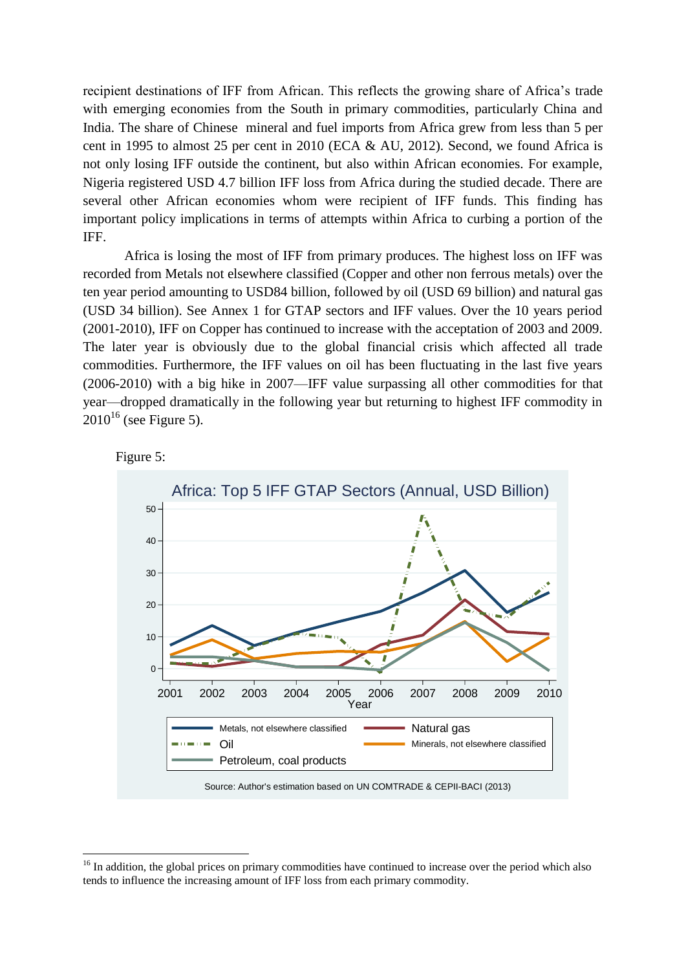recipient destinations of IFF from African. This reflects the growing share of Africa's trade with emerging economies from the South in primary commodities, particularly China and India. The share of Chinese mineral and fuel imports from Africa grew from less than 5 per cent in 1995 to almost 25 per cent in 2010 (ECA & AU, 2012). Second, we found Africa is not only losing IFF outside the continent, but also within African economies. For example, Nigeria registered USD 4.7 billion IFF loss from Africa during the studied decade. There are several other African economies whom were recipient of IFF funds. This finding has important policy implications in terms of attempts within Africa to curbing a portion of the IFF.

Africa is losing the most of IFF from primary produces. The highest loss on IFF was recorded from Metals not elsewhere classified (Copper and other non ferrous metals) over the ten year period amounting to USD84 billion, followed by oil (USD 69 billion) and natural gas (USD 34 billion). See Annex 1 for GTAP sectors and IFF values. Over the 10 years period (2001-2010), IFF on Copper has continued to increase with the acceptation of 2003 and 2009. The later year is obviously due to the global financial crisis which affected all trade commodities. Furthermore, the IFF values on oil has been fluctuating in the last five years (2006-2010) with a big hike in 2007—IFF value surpassing all other commodities for that year—dropped dramatically in the following year but returning to highest IFF commodity in  $2010^{16}$  (see Figure 5).



Figure 5:

<sup>1</sup> <sup>16</sup> In addition, the global prices on primary commodities have continued to increase over the period which also tends to influence the increasing amount of IFF loss from each primary commodity.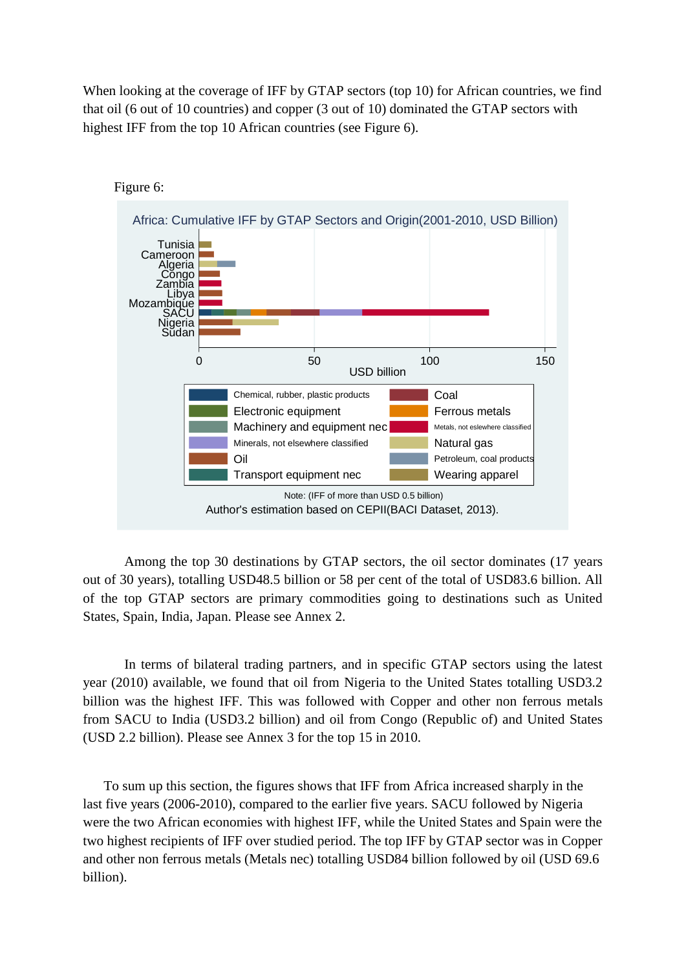When looking at the coverage of IFF by GTAP sectors (top 10) for African countries, we find that oil (6 out of 10 countries) and copper (3 out of 10) dominated the GTAP sectors with highest IFF from the top 10 African countries (see Figure 6).



Among the top 30 destinations by GTAP sectors, the oil sector dominates (17 years out of 30 years), totalling USD48.5 billion or 58 per cent of the total of USD83.6 billion. All of the top GTAP sectors are primary commodities going to destinations such as United States, Spain, India, Japan. Please see Annex 2.

In terms of bilateral trading partners, and in specific GTAP sectors using the latest year (2010) available, we found that oil from Nigeria to the United States totalling USD3.2 billion was the highest IFF. This was followed with Copper and other non ferrous metals from SACU to India (USD3.2 billion) and oil from Congo (Republic of) and United States (USD 2.2 billion). Please see Annex 3 for the top 15 in 2010.

To sum up this section, the figures shows that IFF from Africa increased sharply in the last five years (2006-2010), compared to the earlier five years. SACU followed by Nigeria were the two African economies with highest IFF, while the United States and Spain were the two highest recipients of IFF over studied period. The top IFF by GTAP sector was in Copper and other non ferrous metals (Metals nec) totalling USD84 billion followed by oil (USD 69.6 billion).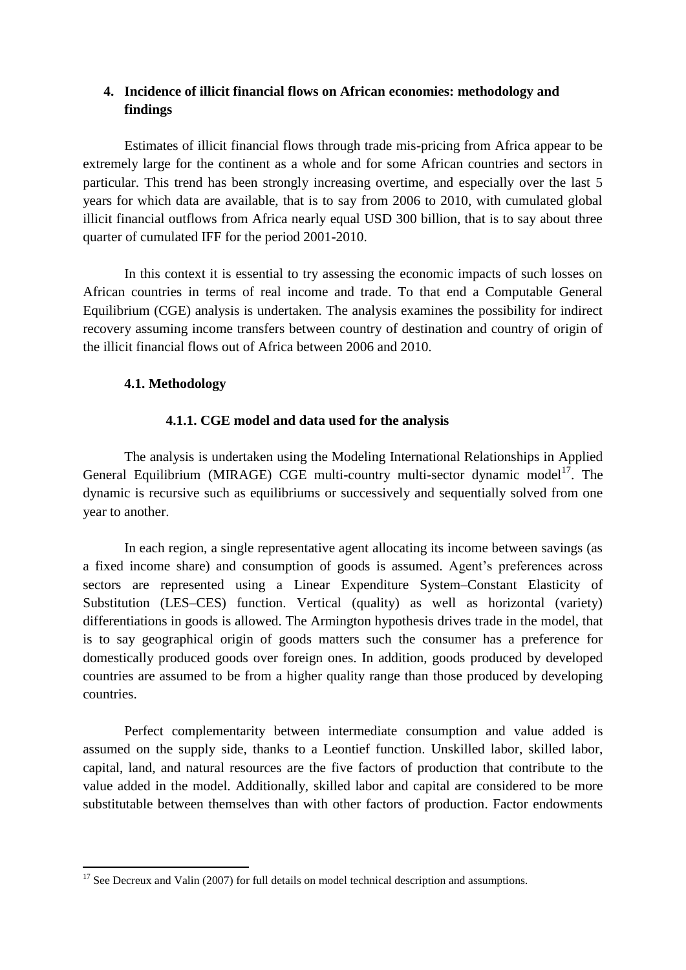## **4. Incidence of illicit financial flows on African economies: methodology and findings**

Estimates of illicit financial flows through trade mis-pricing from Africa appear to be extremely large for the continent as a whole and for some African countries and sectors in particular. This trend has been strongly increasing overtime, and especially over the last 5 years for which data are available, that is to say from 2006 to 2010, with cumulated global illicit financial outflows from Africa nearly equal USD 300 billion, that is to say about three quarter of cumulated IFF for the period 2001-2010.

In this context it is essential to try assessing the economic impacts of such losses on African countries in terms of real income and trade. To that end a Computable General Equilibrium (CGE) analysis is undertaken. The analysis examines the possibility for indirect recovery assuming income transfers between country of destination and country of origin of the illicit financial flows out of Africa between 2006 and 2010.

## **4.1. Methodology**

1

## **4.1.1. CGE model and data used for the analysis**

The analysis is undertaken using the Modeling International Relationships in Applied General Equilibrium (MIRAGE) CGE multi-country multi-sector dynamic model<sup>17</sup>. The dynamic is recursive such as equilibriums or successively and sequentially solved from one year to another.

In each region, a single representative agent allocating its income between savings (as a fixed income share) and consumption of goods is assumed. Agent's preferences across sectors are represented using a Linear Expenditure System–Constant Elasticity of Substitution (LES–CES) function. Vertical (quality) as well as horizontal (variety) differentiations in goods is allowed. The Armington hypothesis drives trade in the model, that is to say geographical origin of goods matters such the consumer has a preference for domestically produced goods over foreign ones. In addition, goods produced by developed countries are assumed to be from a higher quality range than those produced by developing countries.

Perfect complementarity between intermediate consumption and value added is assumed on the supply side, thanks to a Leontief function. Unskilled labor, skilled labor, capital, land, and natural resources are the five factors of production that contribute to the value added in the model. Additionally, skilled labor and capital are considered to be more substitutable between themselves than with other factors of production. Factor endowments

 $17$  See Decreux and Valin (2007) for full details on model technical description and assumptions.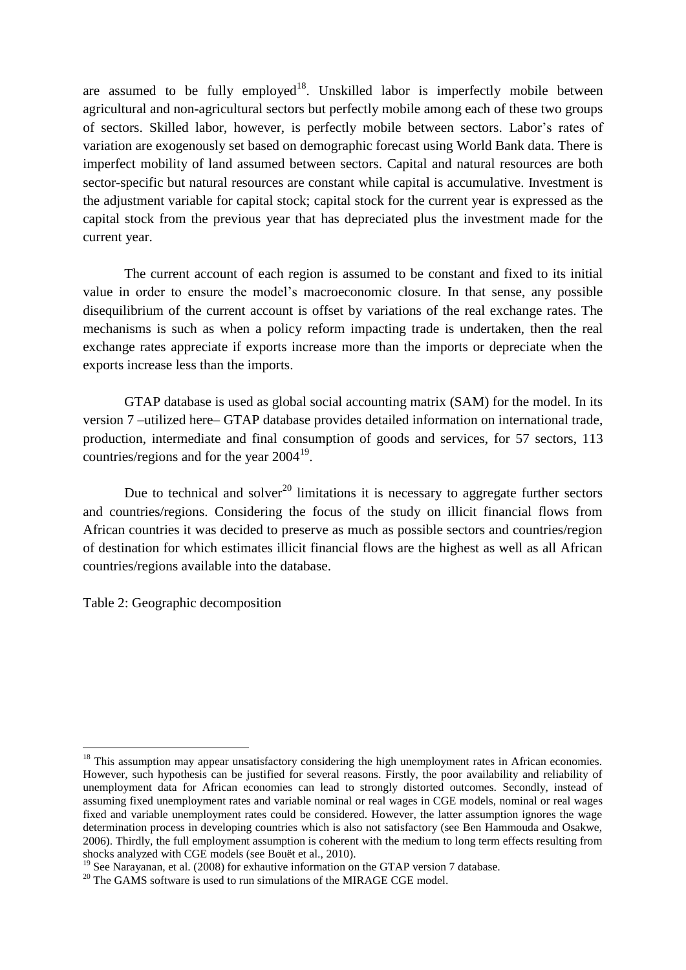are assumed to be fully employed<sup>18</sup>. Unskilled labor is imperfectly mobile between agricultural and non-agricultural sectors but perfectly mobile among each of these two groups of sectors. Skilled labor, however, is perfectly mobile between sectors. Labor's rates of variation are exogenously set based on demographic forecast using World Bank data. There is imperfect mobility of land assumed between sectors. Capital and natural resources are both sector-specific but natural resources are constant while capital is accumulative. Investment is the adjustment variable for capital stock; capital stock for the current year is expressed as the capital stock from the previous year that has depreciated plus the investment made for the current year.

The current account of each region is assumed to be constant and fixed to its initial value in order to ensure the model's macroeconomic closure. In that sense, any possible disequilibrium of the current account is offset by variations of the real exchange rates. The mechanisms is such as when a policy reform impacting trade is undertaken, then the real exchange rates appreciate if exports increase more than the imports or depreciate when the exports increase less than the imports.

GTAP database is used as global social accounting matrix (SAM) for the model. In its version 7 –utilized here– GTAP database provides detailed information on international trade, production, intermediate and final consumption of goods and services, for 57 sectors, 113 countries/regions and for the year  $2004<sup>19</sup>$ .

Due to technical and solver<sup>20</sup> limitations it is necessary to aggregate further sectors and countries/regions. Considering the focus of the study on illicit financial flows from African countries it was decided to preserve as much as possible sectors and countries/region of destination for which estimates illicit financial flows are the highest as well as all African countries/regions available into the database.

Table 2: Geographic decomposition

1

<sup>&</sup>lt;sup>18</sup> This assumption may appear unsatisfactory considering the high unemployment rates in African economies. However, such hypothesis can be justified for several reasons. Firstly, the poor availability and reliability of unemployment data for African economies can lead to strongly distorted outcomes. Secondly, instead of assuming fixed unemployment rates and variable nominal or real wages in CGE models, nominal or real wages fixed and variable unemployment rates could be considered. However, the latter assumption ignores the wage determination process in developing countries which is also not satisfactory (see Ben Hammouda and Osakwe, 2006). Thirdly, the full employment assumption is coherent with the medium to long term effects resulting from shocks analyzed with CGE models (see Bouët et al., 2010).

<sup>&</sup>lt;sup>19</sup> See Narayanan, et al. (2008) for exhautive information on the GTAP version 7 database.

 $20$  The GAMS software is used to run simulations of the MIRAGE CGE model.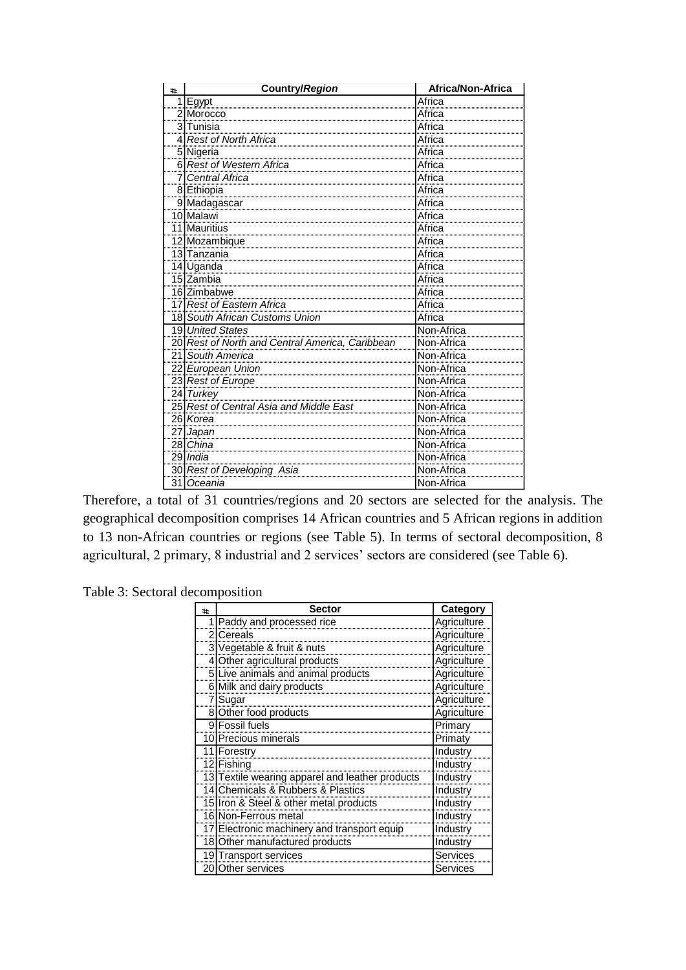| #.                  | Country/Region                                   | Africa/Non-Africa                      |  |
|---------------------|--------------------------------------------------|----------------------------------------|--|
| 1<br>,,,,,,,,,,,    | <u>Egypt</u>                                     | Africa                                 |  |
| $\overline{2}$<br>  | Morocco                                          | Africa                                 |  |
| 3<br>               | Tunisia                                          | Africa                                 |  |
| 4<br>               | Rest of North Africa                             | Africa                                 |  |
| 5<br>               | <b>Nigeria</b>                                   | Africa                                 |  |
| 61<br>,,,,,,,,,,,,  | <b>Rest of Western Africa<br/>Central Africa</b> | Africa<br>Africa                       |  |
| 7<br>               |                                                  |                                        |  |
| 8<br>               | <u>Ethiopia</u>                                  | Äfrica                                 |  |
| 9                   | Madagascar                                       | Africa                                 |  |
| 10                  | Malawi                                           | Africa                                 |  |
| 11                  | <b>Mauritius</b>                                 | Africa                                 |  |
| 12                  | Mozambique                                       | Africa                                 |  |
| $\frac{1}{13}$<br>  | Tanzania                                         | Africa                                 |  |
| 14                  | Uganda                                           | Africa                                 |  |
| ,,,,,,,,,           | 15 Zambia<br>16 Zimbabwe                         | Africa                                 |  |
|                     |                                                  |                                        |  |
| 17                  | Rest of Eastern Africa                           | Africa                                 |  |
| 18                  | <b>South African Customs Union</b>               | Africa                                 |  |
| 19                  | <b>United States</b>                             | Non-Africa                             |  |
| 20<br>ասան          | Rest of North and Central America, Caribbean     | Non-Africa                             |  |
| 21<br>              | South America                                    | Non-Africa                             |  |
| 22<br>              | European Union                                   | Non-Africa                             |  |
| 23                  | <b>Rest of Europe</b>                            | Non-Africa                             |  |
| $\overline{24}$<br> | Turkey<br>Rest of Central Asia and Middle East   | Non-Africa<br>Non-Africa<br>Non-Africa |  |
| 25<br>              |                                                  |                                        |  |
| 26<br>              | Korea                                            | Non-Africa                             |  |
| 27<br>,,,,,,,,      | Japan                                            | Non-Africa                             |  |
| 28                  | China                                            | Non-Africa                             |  |
| 29<br>,,,,,,,,,,,,  | India                                            | Non-Africa                             |  |
| 30                  | <b>Rest of Developing Asia</b>                   | Non-Africa                             |  |
| 31                  | Oceania                                          | Non-Africa                             |  |

Therefore, a total of 31 countries/regions and 20 sectors are selected for the analysis. The geographical decomposition comprises 14 African countries and 5 African regions in addition to 13 non-African countries or regions (see Table 5). In terms of sectoral decomposition, 8 agricultural, 2 primary, 8 industrial and 2 services' sectors are considered (see Table 6).

Table 3: Sectoral decomposition

| 41             | <b>Sector</b>                                | Category        |
|----------------|----------------------------------------------|-----------------|
|                | Paddy and processed rice                     | Agriculture     |
| 2              | Cereals                                      | Agriculture     |
| 3              | Vegetable & fruit & nuts                     | Agriculture     |
| 4              | Other agricultural products                  | Agriculture     |
| 5 <sup>1</sup> | Live animals and animal products             | Agriculture     |
| 6              | Milk and dairy products                      | Agriculture     |
|                | Sugar                                        | Agriculture     |
| 81             | Other food products                          | Agriculture     |
| 9              | <b>Fossil fuels</b>                          | Primary         |
|                | 10 Precious minerals                         | Primaty         |
| 11             | Forestry                                     | <b>Industry</b> |
| 12I            | Fishing                                      | Industry        |
| 13I            | Textile wearing apparel and leather products | Industry        |
|                | 14 Chemicals & Rubbers & Plastics            | Industry        |
|                | 15 Iron & Steel & other metal products       | Industry        |
|                | 16 Non-Ferrous metal                         | Industry        |
|                | 17 Electronic machinery and transport equip  | Industry        |
| 18             | Other manufactured products                  | Industry        |
| 19             | Transport services                           | <b>Services</b> |
| 201            | Other services                               | Services        |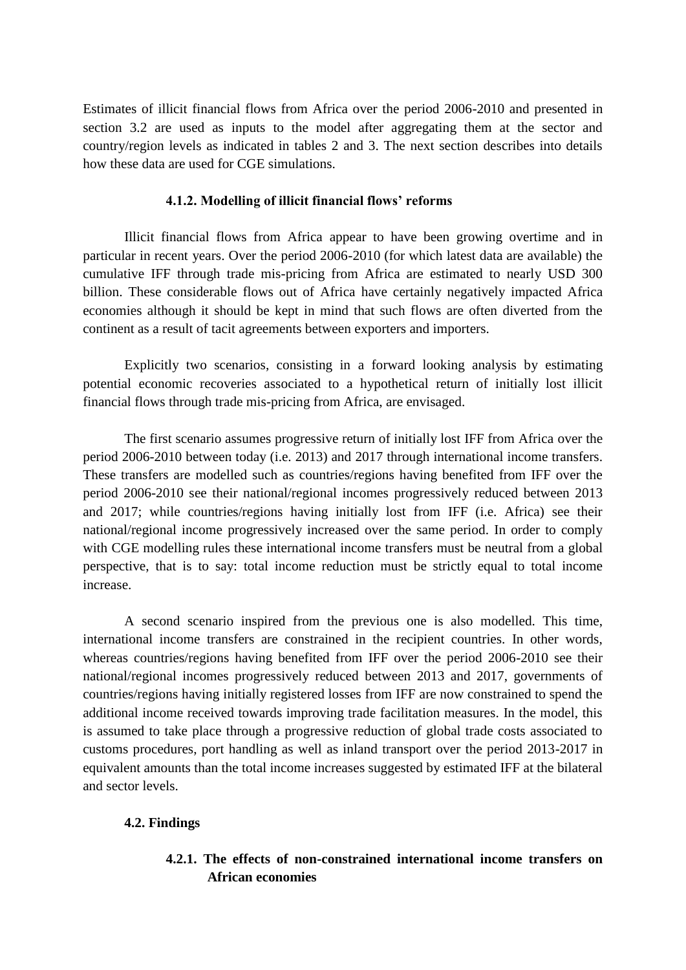Estimates of illicit financial flows from Africa over the period 2006-2010 and presented in section 3.2 are used as inputs to the model after aggregating them at the sector and country/region levels as indicated in tables 2 and 3. The next section describes into details how these data are used for CGE simulations.

#### **4.1.2. Modelling of illicit financial flows' reforms**

Illicit financial flows from Africa appear to have been growing overtime and in particular in recent years. Over the period 2006-2010 (for which latest data are available) the cumulative IFF through trade mis-pricing from Africa are estimated to nearly USD 300 billion. These considerable flows out of Africa have certainly negatively impacted Africa economies although it should be kept in mind that such flows are often diverted from the continent as a result of tacit agreements between exporters and importers.

Explicitly two scenarios, consisting in a forward looking analysis by estimating potential economic recoveries associated to a hypothetical return of initially lost illicit financial flows through trade mis-pricing from Africa, are envisaged.

The first scenario assumes progressive return of initially lost IFF from Africa over the period 2006-2010 between today (i.e. 2013) and 2017 through international income transfers. These transfers are modelled such as countries/regions having benefited from IFF over the period 2006-2010 see their national/regional incomes progressively reduced between 2013 and 2017; while countries/regions having initially lost from IFF (i.e. Africa) see their national/regional income progressively increased over the same period. In order to comply with CGE modelling rules these international income transfers must be neutral from a global perspective, that is to say: total income reduction must be strictly equal to total income increase.

A second scenario inspired from the previous one is also modelled. This time, international income transfers are constrained in the recipient countries. In other words, whereas countries/regions having benefited from IFF over the period 2006-2010 see their national/regional incomes progressively reduced between 2013 and 2017, governments of countries/regions having initially registered losses from IFF are now constrained to spend the additional income received towards improving trade facilitation measures. In the model, this is assumed to take place through a progressive reduction of global trade costs associated to customs procedures, port handling as well as inland transport over the period 2013-2017 in equivalent amounts than the total income increases suggested by estimated IFF at the bilateral and sector levels.

#### **4.2. Findings**

## **4.2.1. The effects of non-constrained international income transfers on African economies**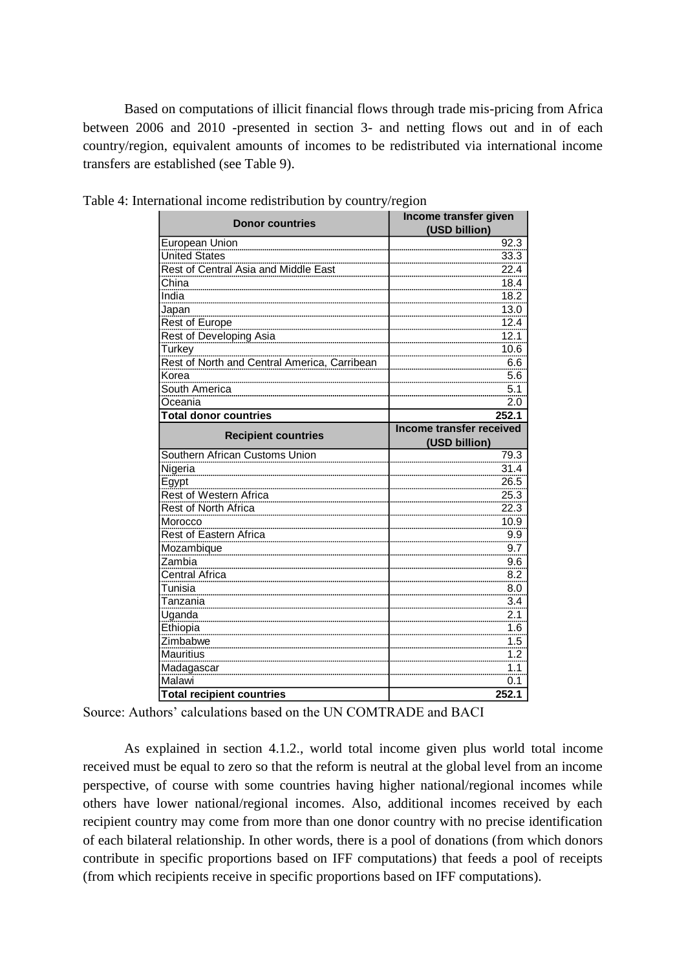Based on computations of illicit financial flows through trade mis-pricing from Africa between 2006 and 2010 -presented in section 3- and netting flows out and in of each country/region, equivalent amounts of incomes to be redistributed via international income transfers are established (see Table 9).

| <b>Donor countries</b>                       | Income transfer given<br>(USD billion) |  |  |
|----------------------------------------------|----------------------------------------|--|--|
| European Union                               | 92.3                                   |  |  |
| United States                                | 33.3                                   |  |  |
| Rest of Central Asia and Middle East         | 22.4                                   |  |  |
| China                                        | 18.4                                   |  |  |
| India                                        | 18.2                                   |  |  |
| Japan                                        | 13.0                                   |  |  |
| Rest of Europe                               | 12.4                                   |  |  |
| Rest of Developing Asia                      | 12.1                                   |  |  |
| Turkey                                       | 10.6                                   |  |  |
| Rest of North and Central America, Carribean | 6.6                                    |  |  |
| Korea                                        | 5.6                                    |  |  |
| South America                                | 5.1                                    |  |  |
| Oceania                                      | 2.0                                    |  |  |
| <b>Total donor countries</b>                 | 252.1                                  |  |  |
| <b>Recipient countries</b>                   | Income transfer received               |  |  |
|                                              | (USD billion)                          |  |  |
| Southern African Customs Union               | 79.3                                   |  |  |
| Nigeria                                      | 31.4                                   |  |  |
| Egypt                                        | 26.5                                   |  |  |
| Rest of Western Africa                       | 25.3                                   |  |  |
| Rest of North Africa                         | 22.3                                   |  |  |
| Morocco                                      | 10.9                                   |  |  |
| <b>Rest of Eastern Africa</b>                | 9.9                                    |  |  |
| Mozambique                                   | 9.7                                    |  |  |
| Zambia                                       | $9.\overline{6}$                       |  |  |
| Central Africa                               | 8.2                                    |  |  |
| Tunisia                                      | 8.0                                    |  |  |
| Tanzania                                     | 3.4                                    |  |  |
| Uganda                                       | 2.1                                    |  |  |
| Ethiopia                                     | 1.6                                    |  |  |
| Zimbabwe                                     | 1.5                                    |  |  |
| <b>Mauritius</b>                             | 1.2                                    |  |  |
| Madagascar                                   | 1.1                                    |  |  |
| Malawi                                       | 0.1                                    |  |  |
| <b>Total recipient countries</b>             | 252.1                                  |  |  |

Table 4: International income redistribution by country/region

Source: Authors' calculations based on the UN COMTRADE and BACI

As explained in section 4.1.2., world total income given plus world total income received must be equal to zero so that the reform is neutral at the global level from an income perspective, of course with some countries having higher national/regional incomes while others have lower national/regional incomes. Also, additional incomes received by each recipient country may come from more than one donor country with no precise identification of each bilateral relationship. In other words, there is a pool of donations (from which donors contribute in specific proportions based on IFF computations) that feeds a pool of receipts (from which recipients receive in specific proportions based on IFF computations).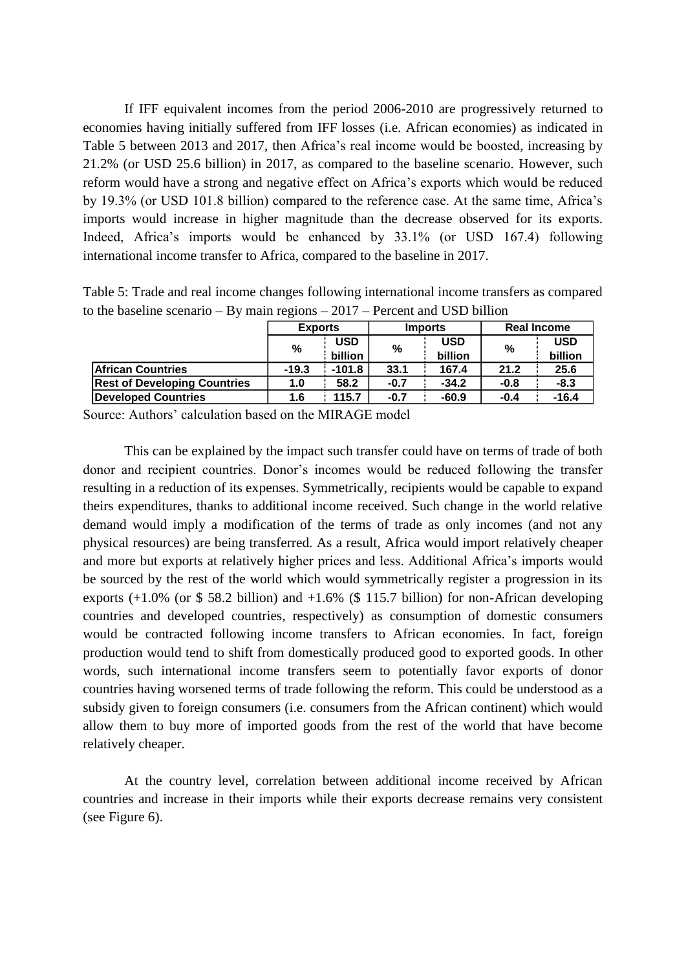If IFF equivalent incomes from the period 2006-2010 are progressively returned to economies having initially suffered from IFF losses (i.e. African economies) as indicated in Table 5 between 2013 and 2017, then Africa's real income would be boosted, increasing by 21.2% (or USD 25.6 billion) in 2017, as compared to the baseline scenario. However, such reform would have a strong and negative effect on Africa's exports which would be reduced by 19.3% (or USD 101.8 billion) compared to the reference case. At the same time, Africa's imports would increase in higher magnitude than the decrease observed for its exports. Indeed, Africa's imports would be enhanced by 33.1% (or USD 167.4) following international income transfer to Africa, compared to the baseline in 2017.

Table 5: Trade and real income changes following international income transfers as compared to the baseline scenario – By main regions – 2017 – Percent and USD billion

|                                     | <b>Exports</b> |          | <b>Imports</b> |            | <b>Real Income</b> |            |
|-------------------------------------|----------------|----------|----------------|------------|--------------------|------------|
|                                     | %              | USD      | %              | <b>USD</b> | %                  | <b>USD</b> |
|                                     |                | billion  |                | billion    |                    | billion    |
| <b>African Countries</b>            | $-19.3$        | $-101.8$ | 33.1           | 167.4      | 21.2               | 25.6       |
| <b>Rest of Developing Countries</b> | 1.0            | 58.2     | $-0.7$         | $-34.2$    | $-0.8$             | $-8.3$     |
| Developed Countries                 | 1.6            | 115.7    | $-0.7$         | $-60.9$    | $-0.4$             | $-16.4$    |

Source: Authors' calculation based on the MIRAGE model

This can be explained by the impact such transfer could have on terms of trade of both donor and recipient countries. Donor's incomes would be reduced following the transfer resulting in a reduction of its expenses. Symmetrically, recipients would be capable to expand theirs expenditures, thanks to additional income received. Such change in the world relative demand would imply a modification of the terms of trade as only incomes (and not any physical resources) are being transferred. As a result, Africa would import relatively cheaper and more but exports at relatively higher prices and less. Additional Africa's imports would be sourced by the rest of the world which would symmetrically register a progression in its exports  $(+1.0\%$  (or \$58.2 billion) and  $+1.6\%$  (\$115.7 billion) for non-African developing countries and developed countries, respectively) as consumption of domestic consumers would be contracted following income transfers to African economies. In fact, foreign production would tend to shift from domestically produced good to exported goods. In other words, such international income transfers seem to potentially favor exports of donor countries having worsened terms of trade following the reform. This could be understood as a subsidy given to foreign consumers (i.e. consumers from the African continent) which would allow them to buy more of imported goods from the rest of the world that have become relatively cheaper.

At the country level, correlation between additional income received by African countries and increase in their imports while their exports decrease remains very consistent (see Figure 6).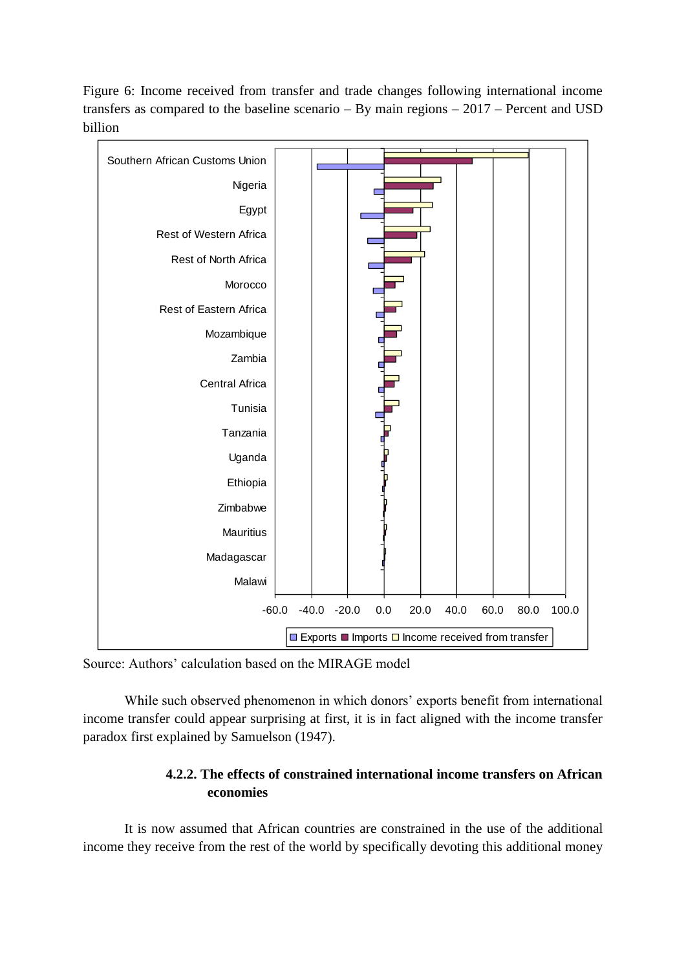Figure 6: Income received from transfer and trade changes following international income transfers as compared to the baseline scenario – By main regions – 2017 – Percent and USD billion



Source: Authors' calculation based on the MIRAGE model

While such observed phenomenon in which donors' exports benefit from international income transfer could appear surprising at first, it is in fact aligned with the income transfer paradox first explained by Samuelson (1947).

## **4.2.2. The effects of constrained international income transfers on African economies**

It is now assumed that African countries are constrained in the use of the additional income they receive from the rest of the world by specifically devoting this additional money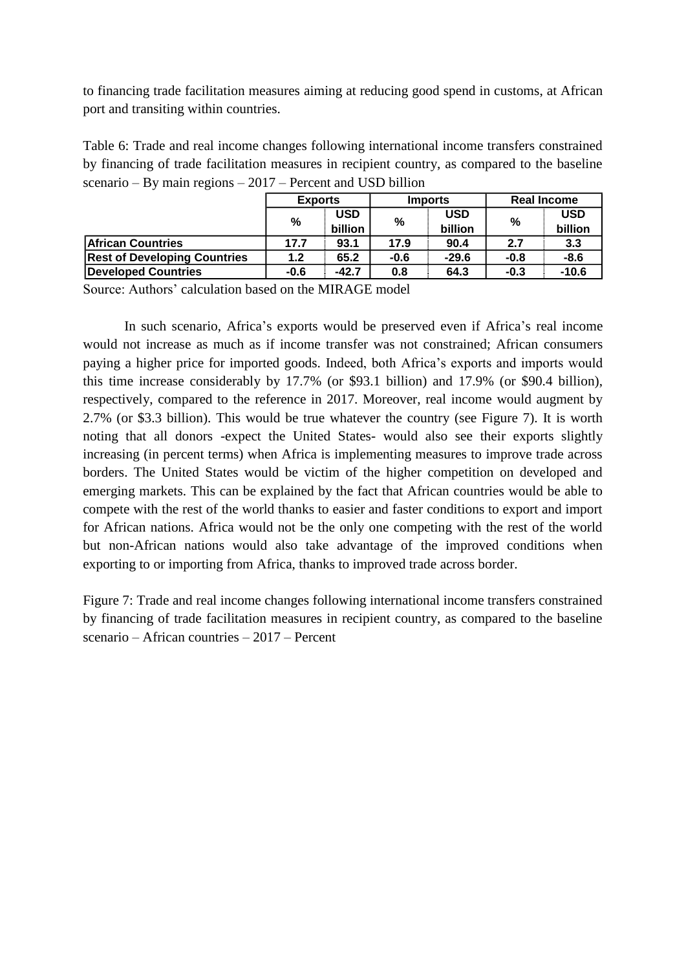to financing trade facilitation measures aiming at reducing good spend in customs, at African port and transiting within countries.

Table 6: Trade and real income changes following international income transfers constrained by financing of trade facilitation measures in recipient country, as compared to the baseline scenario – By main regions – 2017 – Percent and USD billion

|                                     | <b>Exports</b> |            | <b>Imports</b> |         | <b>Real Income</b> |            |
|-------------------------------------|----------------|------------|----------------|---------|--------------------|------------|
|                                     | %              | <b>USD</b> | %              | USD     | %                  | <b>USD</b> |
|                                     |                | billion    |                | billion |                    | billion    |
| <b>African Countries</b>            | 17.7           | 93.1       | 17.9           | 90.4    | 2.7                | 3.3        |
| <b>Rest of Developing Countries</b> | 1.2            | 65.2       | $-0.6$         | $-29.6$ | $-0.8$             | -8.6       |
| Developed Countries                 | $-0.6$         | $-42.7$    | 0.8            | 64.3    | $-0.3$             | $-10.6$    |

Source: Authors' calculation based on the MIRAGE model

In such scenario, Africa's exports would be preserved even if Africa's real income would not increase as much as if income transfer was not constrained; African consumers paying a higher price for imported goods. Indeed, both Africa's exports and imports would this time increase considerably by 17.7% (or \$93.1 billion) and 17.9% (or \$90.4 billion), respectively, compared to the reference in 2017. Moreover, real income would augment by 2.7% (or \$3.3 billion). This would be true whatever the country (see Figure 7). It is worth noting that all donors -expect the United States- would also see their exports slightly increasing (in percent terms) when Africa is implementing measures to improve trade across borders. The United States would be victim of the higher competition on developed and emerging markets. This can be explained by the fact that African countries would be able to compete with the rest of the world thanks to easier and faster conditions to export and import for African nations. Africa would not be the only one competing with the rest of the world but non-African nations would also take advantage of the improved conditions when exporting to or importing from Africa, thanks to improved trade across border.

Figure 7: Trade and real income changes following international income transfers constrained by financing of trade facilitation measures in recipient country, as compared to the baseline scenario – African countries – 2017 – Percent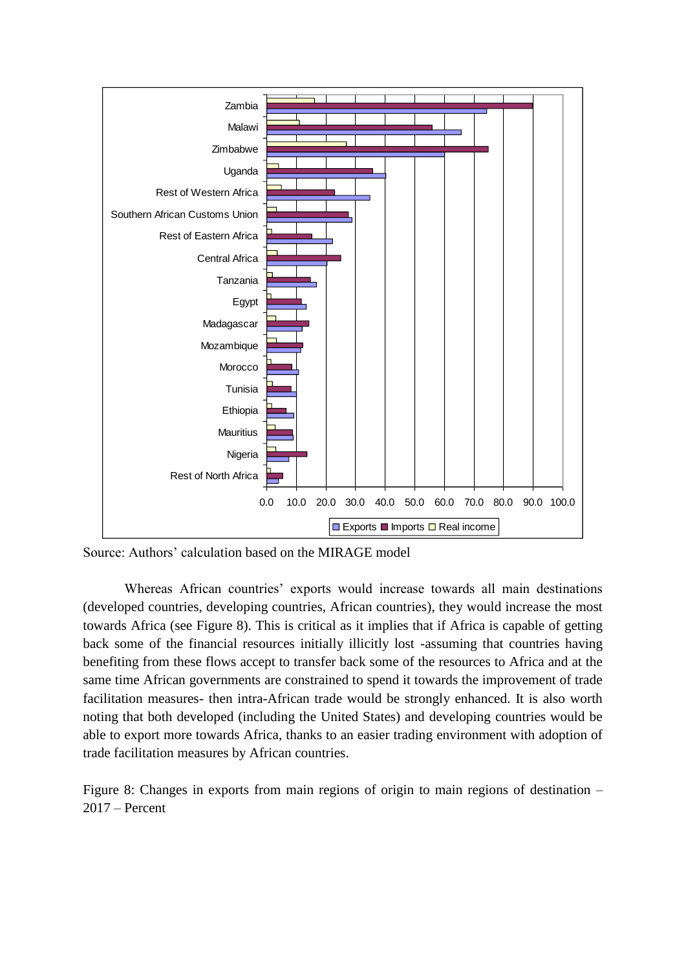

Source: Authors' calculation based on the MIRAGE model

Whereas African countries' exports would increase towards all main destinations (developed countries, developing countries, African countries), they would increase the most towards Africa (see Figure 8). This is critical as it implies that if Africa is capable of getting back some of the financial resources initially illicitly lost -assuming that countries having benefiting from these flows accept to transfer back some of the resources to Africa and at the same time African governments are constrained to spend it towards the improvement of trade facilitation measures- then intra-African trade would be strongly enhanced. It is also worth noting that both developed (including the United States) and developing countries would be able to export more towards Africa, thanks to an easier trading environment with adoption of trade facilitation measures by African countries.

Figure 8: Changes in exports from main regions of origin to main regions of destination – 2017 – Percent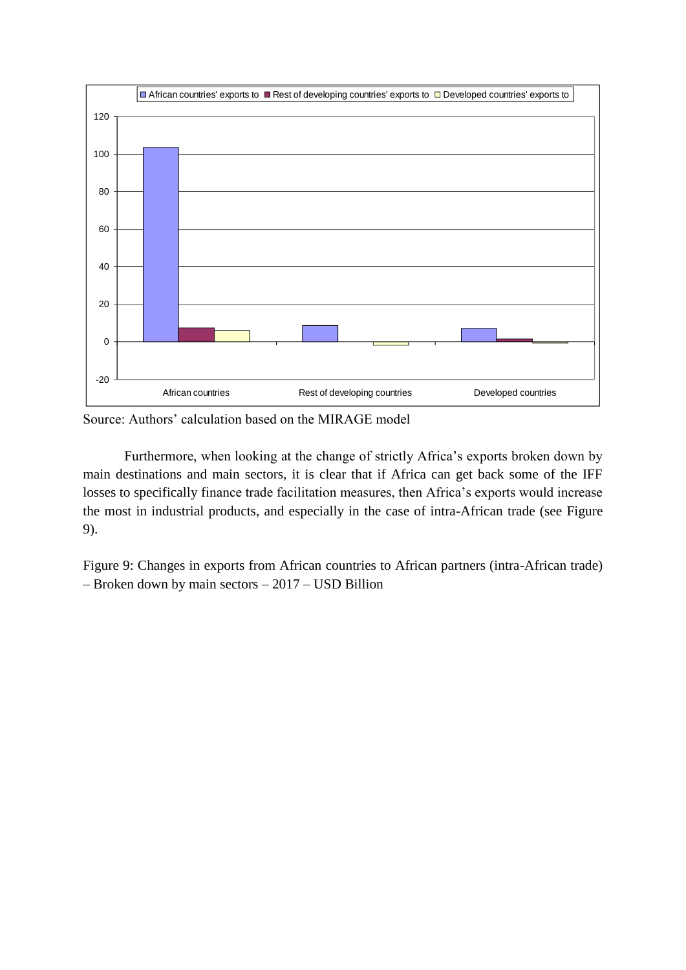

Source: Authors' calculation based on the MIRAGE model

Furthermore, when looking at the change of strictly Africa's exports broken down by main destinations and main sectors, it is clear that if Africa can get back some of the IFF losses to specifically finance trade facilitation measures, then Africa's exports would increase the most in industrial products, and especially in the case of intra-African trade (see Figure 9).

Figure 9: Changes in exports from African countries to African partners (intra-African trade) – Broken down by main sectors – 2017 – USD Billion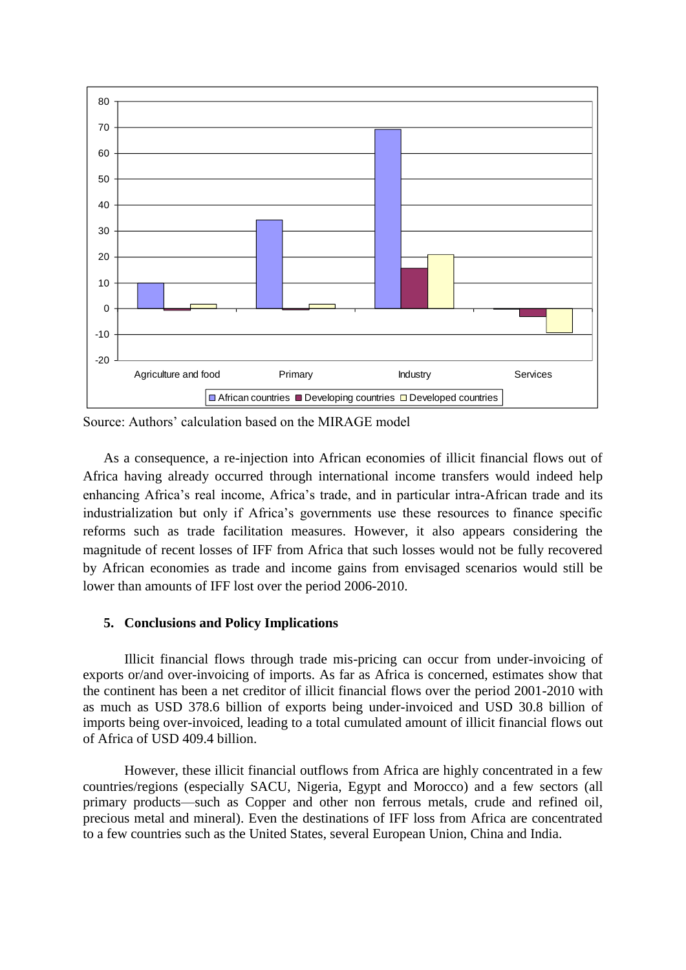

Source: Authors' calculation based on the MIRAGE model

As a consequence, a re-injection into African economies of illicit financial flows out of Africa having already occurred through international income transfers would indeed help enhancing Africa's real income, Africa's trade, and in particular intra-African trade and its industrialization but only if Africa's governments use these resources to finance specific reforms such as trade facilitation measures. However, it also appears considering the magnitude of recent losses of IFF from Africa that such losses would not be fully recovered by African economies as trade and income gains from envisaged scenarios would still be lower than amounts of IFF lost over the period 2006-2010.

#### **5. Conclusions and Policy Implications**

Illicit financial flows through trade mis-pricing can occur from under-invoicing of exports or/and over-invoicing of imports. As far as Africa is concerned, estimates show that the continent has been a net creditor of illicit financial flows over the period 2001-2010 with as much as USD 378.6 billion of exports being under-invoiced and USD 30.8 billion of imports being over-invoiced, leading to a total cumulated amount of illicit financial flows out of Africa of USD 409.4 billion.

However, these illicit financial outflows from Africa are highly concentrated in a few countries/regions (especially SACU, Nigeria, Egypt and Morocco) and a few sectors (all primary products—such as Copper and other non ferrous metals, crude and refined oil, precious metal and mineral). Even the destinations of IFF loss from Africa are concentrated to a few countries such as the United States, several European Union, China and India.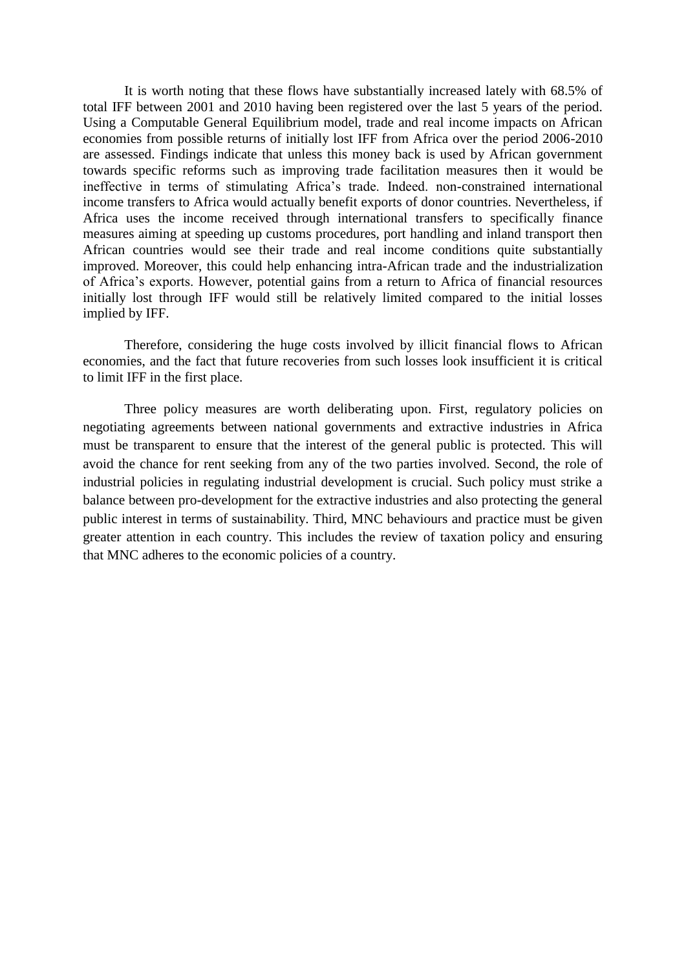It is worth noting that these flows have substantially increased lately with 68.5% of total IFF between 2001 and 2010 having been registered over the last 5 years of the period. Using a Computable General Equilibrium model, trade and real income impacts on African economies from possible returns of initially lost IFF from Africa over the period 2006-2010 are assessed. Findings indicate that unless this money back is used by African government towards specific reforms such as improving trade facilitation measures then it would be ineffective in terms of stimulating Africa's trade. Indeed. non-constrained international income transfers to Africa would actually benefit exports of donor countries. Nevertheless, if Africa uses the income received through international transfers to specifically finance measures aiming at speeding up customs procedures, port handling and inland transport then African countries would see their trade and real income conditions quite substantially improved. Moreover, this could help enhancing intra-African trade and the industrialization of Africa's exports. However, potential gains from a return to Africa of financial resources initially lost through IFF would still be relatively limited compared to the initial losses implied by IFF.

Therefore, considering the huge costs involved by illicit financial flows to African economies, and the fact that future recoveries from such losses look insufficient it is critical to limit IFF in the first place.

Three policy measures are worth deliberating upon. First, regulatory policies on negotiating agreements between national governments and extractive industries in Africa must be transparent to ensure that the interest of the general public is protected. This will avoid the chance for rent seeking from any of the two parties involved. Second, the role of industrial policies in regulating industrial development is crucial. Such policy must strike a balance between pro-development for the extractive industries and also protecting the general public interest in terms of sustainability. Third, MNC behaviours and practice must be given greater attention in each country. This includes the review of taxation policy and ensuring that MNC adheres to the economic policies of a country.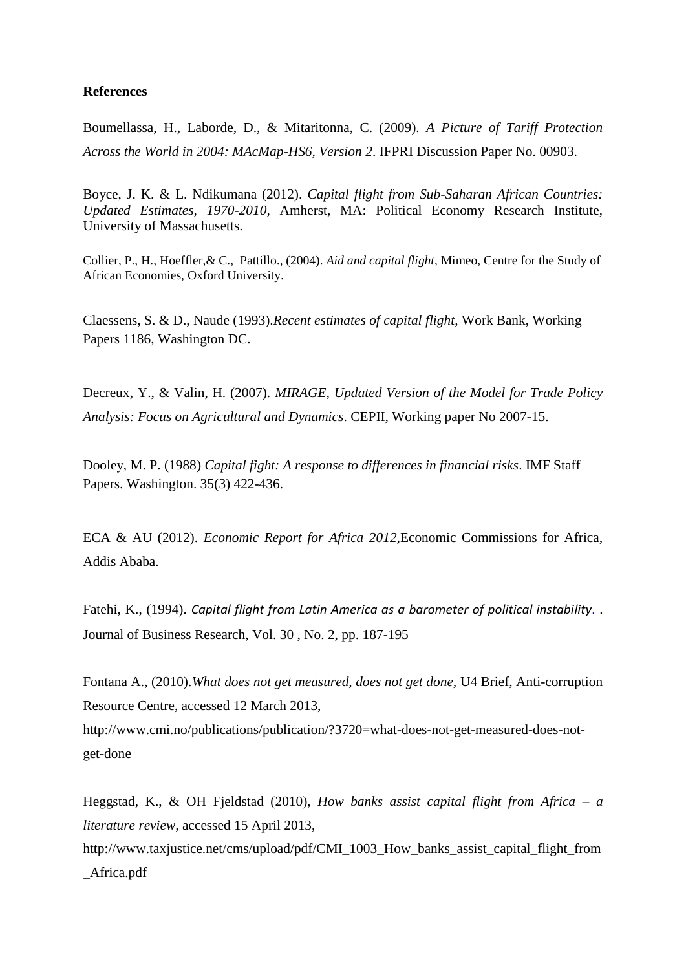### **References**

Boumellassa, H., Laborde, D., & Mitaritonna, C. (2009). *A Picture of Tariff Protection Across the World in 2004: MAcMap-HS6, Version 2*. IFPRI Discussion Paper No. 00903.

Boyce, J. K. & L. Ndikumana (2012). *Capital flight from Sub-Saharan African Countries: Updated Estimates, 1970-2010,* Amherst, MA: Political Economy Research Institute, University of Massachusetts.

Collier, P., H., Hoeffler,& C., Pattillo., (2004). *Aid and capital flight*, Mimeo, Centre for the Study of African Economies, Oxford University.

Claessens, S. & D., Naude (1993).*Recent estimates of capital flight,* Work Bank, Working Papers 1186, Washington DC.

Decreux, Y., & Valin, H. (2007). *MIRAGE, Updated Version of the Model for Trade Policy Analysis: Focus on Agricultural and Dynamics*. CEPII, Working paper No 2007-15.

Dooley, M. P. (1988) *Capital fight: A response to differences in financial risks*. IMF Staff Papers. Washington. 35(3) 422-436.

ECA & AU (2012). *Economic Report for Africa 2012,*Economic Commissions for Africa, Addis Ababa.

Fatehi, K., (1994). *[Capital flight from Latin America as a barometer of political instability](http://journals.ohiolink.edu/ejc/article.cgi?issn=01482963&issue=v30i0002&article=187_cfflaaabopi)*. . Journal of Business Research, Vol. 30 , No. 2, pp. 187-195

Fontana A., (2010).*What does not get measured, does not get done,* U4 Brief, Anti-corruption Resource Centre, accessed 12 March 2013,

http://www.cmi.no/publications/publication/?3720=what-does-not-get-measured-does-notget-done

Heggstad, K., & OH Fjeldstad (2010), *How banks assist capital flight from Africa – a literature review,* accessed 15 April 2013, http://www.taxjustice.net/cms/upload/pdf/CMI\_1003\_How\_banks\_assist\_capital\_flight\_from \_Africa.pdf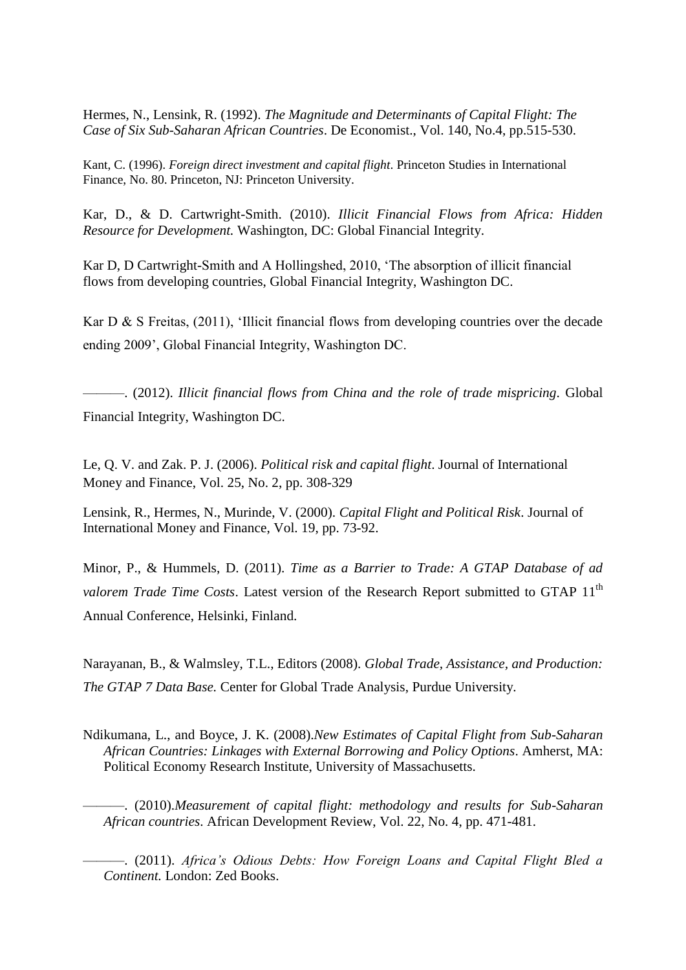Hermes, N., Lensink, R. (1992). *The Magnitude and Determinants of Capital Flight: The Case of Six Sub-Saharan African Countries*. De Economist., Vol. 140, No.4, pp.515-530.

Kant, C. (1996). *Foreign direct investment and capital flight*. Princeton Studies in International Finance, No. 80. Princeton, NJ: Princeton University.

Kar, D., & D. Cartwright-Smith. (2010). *Illicit Financial Flows from Africa: Hidden Resource for Development.* Washington, DC: Global Financial Integrity.

Kar D, D Cartwright-Smith and A Hollingshed, 2010, 'The absorption of illicit financial flows from developing countries, Global Financial Integrity, Washington DC.

Kar D & S Freitas, (2011), 'Illicit financial flows from developing countries over the decade ending 2009', Global Financial Integrity, Washington DC.

———. (2012). *Illicit financial flows from China and the role of trade mispricing.* Global Financial Integrity, Washington DC.

Le, Q. V. and Zak. P. J. (2006). *Political risk and capital flight*. Journal of International Money and Finance, Vol. 25, No. 2, pp. 308-329

Lensink, R., Hermes, N., Murinde, V. (2000). *Capital Flight and Political Risk*. Journal of International Money and Finance, Vol. 19, pp. 73-92.

Minor, P., & Hummels, D. (2011). *Time as a Barrier to Trade: A GTAP Database of ad valorem Trade Time Costs*. Latest version of the Research Report submitted to GTAP 11<sup>th</sup> Annual Conference, Helsinki, Finland.

Narayanan, B., & Walmsley, T.L., Editors (2008). *Global Trade, Assistance, and Production: The GTAP 7 Data Base.* Center for Global Trade Analysis, Purdue University.

Ndikumana, L., and Boyce, J. K. (2008).*New Estimates of Capital Flight from Sub-Saharan African Countries: Linkages with External Borrowing and Policy Options*. Amherst, MA: Political Economy Research Institute, University of Massachusetts.

———. (2010).*Measurement of capital flight: methodology and results for Sub-Saharan African countries*. African Development Review, Vol. 22, No. 4, pp. 471-481.

———. (2011). *Africa's Odious Debts: How Foreign Loans and Capital Flight Bled a Continent.* London: Zed Books.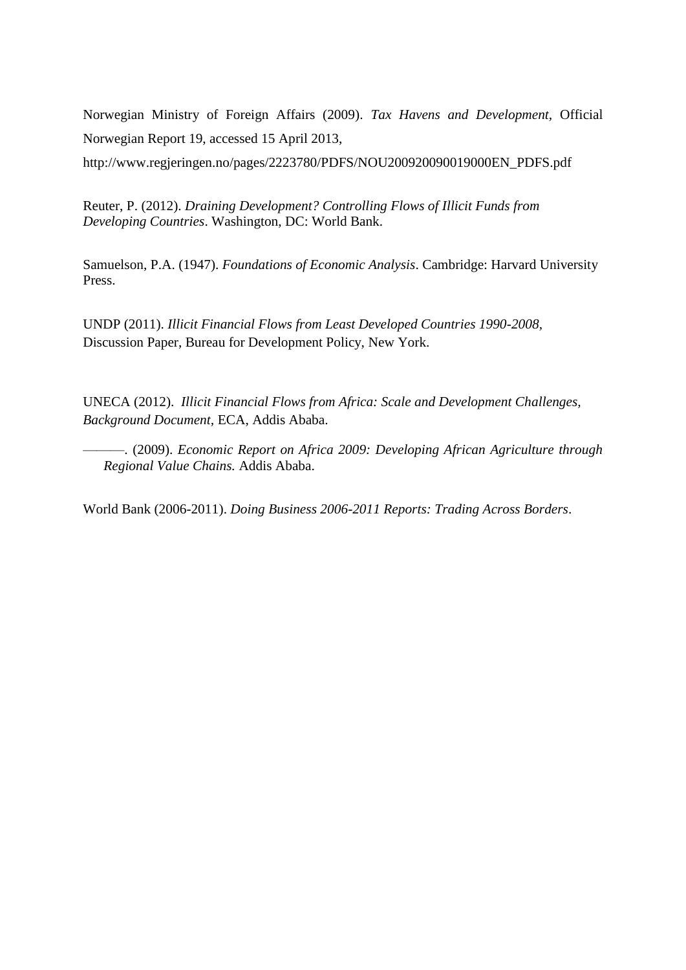Norwegian Ministry of Foreign Affairs (2009). *Tax Havens and Development,* Official Norwegian Report 19, accessed 15 April 2013,

http://www.regjeringen.no/pages/2223780/PDFS/NOU200920090019000EN\_PDFS.pdf

Reuter, P. (2012). *Draining Development? Controlling Flows of Illicit Funds from Developing Countries*. Washington, DC: World Bank.

Samuelson, P.A. (1947). *Foundations of Economic Analysis*. Cambridge: Harvard University Press.

UNDP (2011). *Illicit Financial Flows from Least Developed Countries 1990-2008,* Discussion Paper, Bureau for Development Policy, New York.

UNECA (2012). *Illicit Financial Flows from Africa: Scale and Development Challenges, Background Document,* ECA, Addis Ababa.

———. (2009). *Economic Report on Africa 2009: Developing African Agriculture through Regional Value Chains.* Addis Ababa.

World Bank (2006-2011). *Doing Business 2006-2011 Reports: Trading Across Borders*.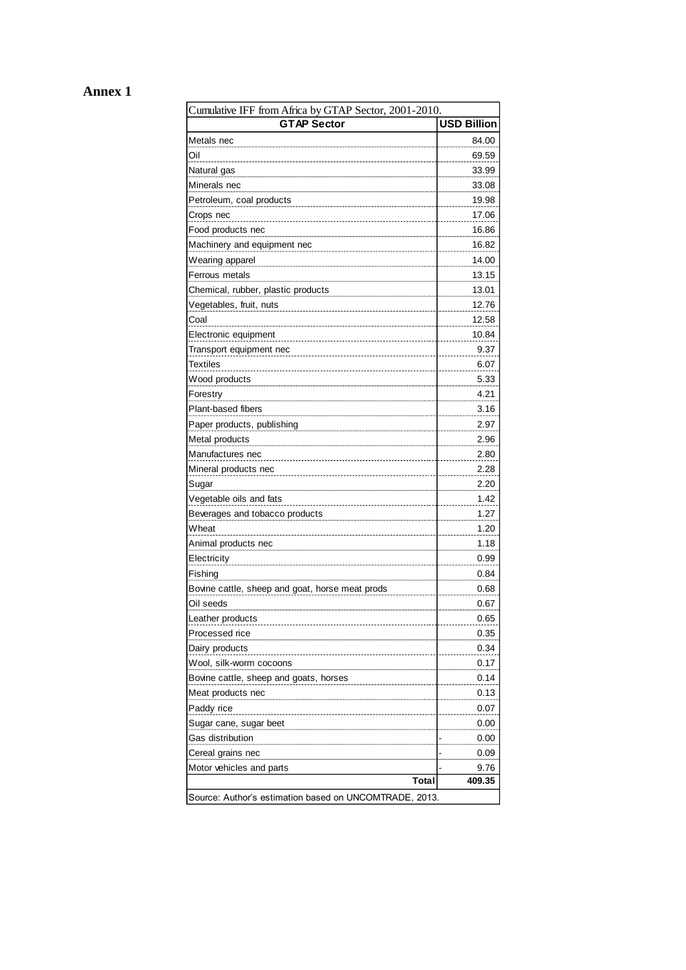## **Annex 1**

| Cumulative IFF from Africa by GTAP Sector, 2001-2010.  |                    |  |  |  |
|--------------------------------------------------------|--------------------|--|--|--|
| <b>GTAP Sector</b>                                     | <b>USD Billion</b> |  |  |  |
| Metals nec                                             | 84.00              |  |  |  |
| Oil                                                    | 69.59              |  |  |  |
| Natural gas                                            | 33.99              |  |  |  |
| Minerals nec                                           | 33.08              |  |  |  |
| Petroleum, coal products                               | 19.98              |  |  |  |
| Crops nec                                              | 17.06              |  |  |  |
| Food products nec                                      | 16.86              |  |  |  |
| Machinery and equipment nec                            | 16.82              |  |  |  |
| Wearing apparel                                        | 14.00              |  |  |  |
| Ferrous metals                                         | 13.15              |  |  |  |
| Chemical, rubber, plastic products                     | 13.01              |  |  |  |
| Vegetables, fruit, nuts                                | 12.76              |  |  |  |
| Coal                                                   | 12.58              |  |  |  |
| Electronic equipment                                   | 10.84              |  |  |  |
| Transport equipment nec                                | 9.37               |  |  |  |
| <b>Textiles</b>                                        | 6.07               |  |  |  |
| Wood products                                          | 5.33               |  |  |  |
| Forestry                                               | 4.21               |  |  |  |
| Plant-based fibers                                     | 3.16               |  |  |  |
| Paper products, publishing                             | 2.97               |  |  |  |
| Metal products                                         | 2.96               |  |  |  |
| Manufactures nec                                       | 2.80               |  |  |  |
| Mineral products nec                                   | 2.28               |  |  |  |
| Sugar                                                  | 2.20               |  |  |  |
| Vegetable oils and fats                                | 1.42               |  |  |  |
| Beverages and tobacco products                         | 1.27               |  |  |  |
| Wheat                                                  | 1.20               |  |  |  |
| Animal products nec                                    | 1.18               |  |  |  |
| Electricity                                            | 0.99               |  |  |  |
| Fishing                                                | 0.84               |  |  |  |
| Bovine cattle, sheep and goat, horse meat prods        | 0.68               |  |  |  |
| Oil seeds                                              | 0.67               |  |  |  |
| Leather products                                       | 0.65               |  |  |  |
| Processed rice                                         | 0.35               |  |  |  |
| Dairy products                                         | 0.34               |  |  |  |
| Wool, silk-worm cocoons                                | 0.17               |  |  |  |
| Bovine cattle, sheep and goats, horses                 | 0.14               |  |  |  |
| Meat products nec                                      | 0.13               |  |  |  |
| Paddy rice                                             | 0.07               |  |  |  |
| Sugar cane, sugar beet                                 | 0.00               |  |  |  |
| Gas distribution                                       | 0.00               |  |  |  |
| Cereal grains nec                                      | 0.09               |  |  |  |
| Motor vehicles and parts                               | 9.76               |  |  |  |
| Total                                                  | 409.35             |  |  |  |
| Source: Author's estimation based on UNCOMTRADE, 2013. |                    |  |  |  |
|                                                        |                    |  |  |  |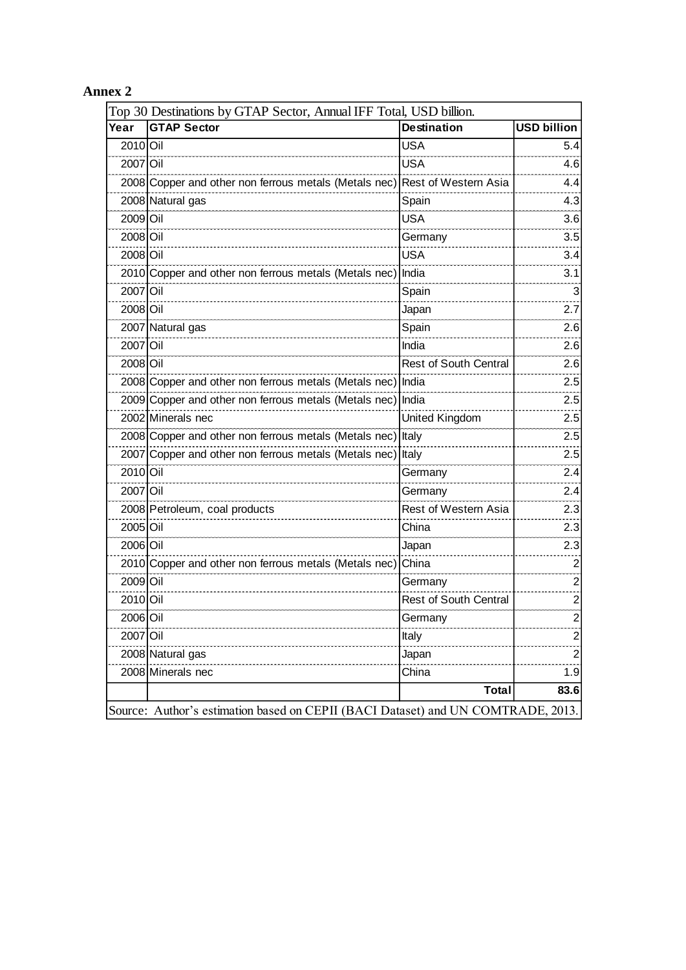## **Annex 2**

| Year     | <b>GTAP</b> Sector                                    | <b>Destination</b>           | <b>USD billion</b> |
|----------|-------------------------------------------------------|------------------------------|--------------------|
| 2010 Oil |                                                       | <b>USA</b>                   | 5.4                |
| 2007 Oil |                                                       | <b>USA</b>                   | 4.6                |
|          | 2008 Copper and other non ferrous metals (Metals nec) | Rest of Western Asia         | 4.4                |
|          | 2008 Natural gas                                      | Spain                        | 4.3                |
| 2009 Oil |                                                       | <b>USA</b>                   | 3.6                |
| 2008 Oil |                                                       | Germany                      | 3.5                |
| 2008 Oil |                                                       | <b>USA</b>                   | 3.4                |
|          | 2010 Copper and other non ferrous metals (Metals nec) | India                        | 3.1                |
| 2007 Oil |                                                       | Spain                        | 3                  |
| 2008 Oil |                                                       | Japan                        | 2.7                |
|          | 2007 Natural gas                                      | Spain                        | 2.6                |
| 2007 Oil |                                                       | India                        | 2.6                |
| 2008 Oil |                                                       | <b>Rest of South Central</b> | 2.6                |
|          | 2008 Copper and other non ferrous metals (Metals nec) | India                        | 2.5                |
|          | 2009 Copper and other non ferrous metals (Metals nec) | India                        | 2.5                |
|          | 2002 Minerals nec                                     | <b>United Kingdom</b>        | 2.5                |
|          | 2008 Copper and other non ferrous metals (Metals nec) | Italy                        | 2.5                |
|          | 2007 Copper and other non ferrous metals (Metals nec) | Italy                        | 2.5                |
| 2010 Oil |                                                       | Germany                      | 2.4                |
| 2007 Oil |                                                       | Germany                      | 2.4                |
|          | 2008 Petroleum, coal products                         | Rest of Western Asia         | 2.3                |
| 2005 Oil |                                                       | China                        | 2.3                |
| 2006 Oil |                                                       | Japan                        | 2.3                |
|          | 2010 Copper and other non ferrous metals (Metals nec) | China                        | 2                  |
| 2009 Oil |                                                       | Germany                      | 2                  |
| 2010 Oil |                                                       | <b>Rest of South Central</b> | 2                  |
| 2006 Oil |                                                       | Germany                      | $\overline{2}$     |
| 2007 Oil |                                                       | Italy                        | $\overline{2}$     |
|          | 2008 Natural gas                                      | Japan                        | $\overline{2}$     |
|          | 2008 Minerals nec                                     | China                        | 1.9                |
|          |                                                       | <b>Total</b>                 | 83.6               |